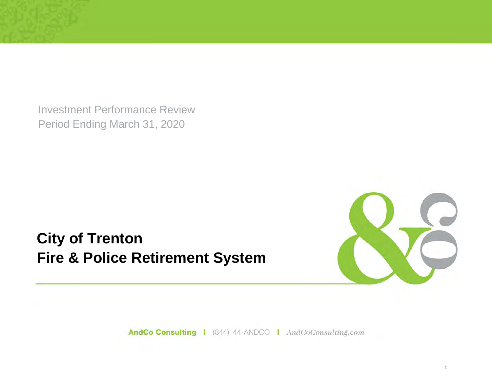Investment Performance Review Period Ending March 31, 2020

**City of Trenton Fire & Police Retirement System**



AndCo Consulting | (844) 44-ANDCO | AndCoConsulting.com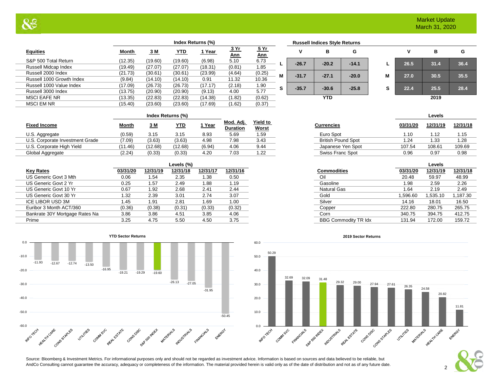|                           |              | Index Returns (%) |            |         |                           |                           |    | <b>Russell Indices Style Returns</b> |            |         |   |      |      |     |
|---------------------------|--------------|-------------------|------------|---------|---------------------------|---------------------------|----|--------------------------------------|------------|---------|---|------|------|-----|
| <b>Equities</b>           | <b>Month</b> | <u>3 M</u>        | <b>YTD</b> | 1 Year  | <u>3 Yr</u><br><u>Ann</u> | <u>5 Yr</u><br><u>Ann</u> |    |                                      | в          | G       |   |      | в    |     |
| S&P 500 Total Return      | (12.35)      | (19.60)           | (19.60)    | (6.98)  | 5.10                      | 6.73                      |    | $-26.7$                              | $-20.2$    | $-14.1$ |   | 26.5 | 31.4 | 36. |
| Russell Midcap Index      | (19.49)      | (27.07)           | (27.07)    | (18.31) | (0.81)                    | 1.85                      |    |                                      |            |         |   |      |      |     |
| Russell 2000 Index        | (21.73)      | (30.61)           | (30.61)    | (23.99) | (4.64)                    | (0.25)                    | M  | $-31.7$                              | $-27.1$    | $-20.0$ | M | 27.0 | 30.5 | 35. |
| Russell 1000 Growth Index | (9.84)       | (14.10)           | (14.10)    | 0.91    | 11.32                     | 10.36                     |    |                                      |            |         |   |      |      |     |
| Russell 1000 Value Index  | (17.09)      | (26.73)           | (26.73)    | (17.17) | (2.18)                    | 1.90                      | s. | $-35.7$                              | $-30.6$    | $-25.8$ | S | 22.4 | 25.5 | 28  |
| Russell 3000 Index        | (13.75)      | (20.90)           | (20.90)    | (9.13)  | 4.00                      | 5.77                      |    |                                      |            |         |   |      |      |     |
| <b>MSCI EAFE NR</b>       | (13.35)      | (22.83)           | (22.83)    | (14.38) | (1.82)                    | (0.62)                    |    |                                      | <b>YTD</b> |         |   |      | 2019 |     |
| <b>MSCI EM NR</b>         | (15.40)      | (23.60)           | (23.60)    | (17.69) | (1.62)                    | (0.37)                    |    |                                      |            |         |   |      |      |     |
|                           |              |                   |            |         |                           |                           |    |                                      |            |         |   |      |      |     |

|   |         | <b>Russell Indices Style Returns</b> |         |   |      |      |
|---|---------|--------------------------------------|---------|---|------|------|
|   | ٧       | в                                    | G       |   | v    | в    |
| L | $-26.7$ | $-20.2$                              | $-14.1$ | L | 26.5 | 31.4 |
| M | $-31.7$ | $-27.1$                              | $-20.0$ | M | 27.0 | 30.5 |
| S | $-35.7$ | $-30.6$                              | $-25.8$ | s | 22.4 | 25.5 |
|   |         | <b>YTD</b>                           |         |   |      | 2019 |

|   | v    | в    | G    |
|---|------|------|------|
| L | 26.5 | 31.4 | 36.4 |
| М | 27.0 | 30.5 | 35.5 |
| s | 22.4 | 25.5 | 28.4 |
|   |      | 2019 |      |

2

| Index Returns (%) | .evels |  |
|-------------------|--------|--|
|                   |        |  |

| 1.15             |
|------------------|
| 1.28<br>. 33     |
| 109.69<br>108.61 |
| 0.98<br>0.97     |
|                  |

|                                |          |          | Levels (%) |          |          |
|--------------------------------|----------|----------|------------|----------|----------|
| <b>Key Rates</b>               | 03/31/20 | 12/31/19 | 12/31/18   | 12/31/17 | 12/31/16 |
| US Generic Govt 3 Mth          | 0.06     | 1.54     | 2.35       | 1.38     | 0.50     |
| US Generic Govt 2 Yr           | 0.25     | 1.57     | 2.49       | 1.88     | 1.19     |
| US Generic Govt 10 Yr          | 0.67     | 1.92     | 2.68       | 2.41     | 2.44     |
| US Generic Govt 30 Yr          | 1.32     | 2.39     | 3.01       | 2.74     | 3.07     |
| <b>ICE LIBOR USD 3M</b>        | 1.45     | 1.91     | 2.81       | 1.69     | 1.00     |
| Euribor 3 Month ACT/360        | (0.36)   | (0.38)   | (0.31)     | (0.33)   | (0.32)   |
| Bankrate 30Y Mortgage Rates Na | 3.86     | 3.86     | 4.51       | 3.85     | 4.06     |
| Prime                          | 3.25     | 4.75     | 5.50       | 4.50     | 3.75     |



**Yield to Worst Currencies 03/31/20 12/31/19 12/31/18**

| Levels (%) |          |          |                             | Levels   |          |  |
|------------|----------|----------|-----------------------------|----------|----------|--|
| 12/31/18   | 12/31/17 | 12/31/16 | <b>Commodities</b>          | 03/31/20 | 12/31/19 |  |
| 2.35       | .38      | 0.50     | Oil                         | 20.48    | 59.97    |  |
| 2.49       | 1.88     | 1.19     | Gasoline                    | 1.98     | 2.59     |  |
| 2.68       | 2.41     | 2.44     | <b>Natural Gas</b>          | 1.64     | 2.19     |  |
| 3.01       | 2.74     | 3.07     | Gold                        | 1,596.60 | 1,535.10 |  |
| 2.81       | 1.69     | 1.00     | Silver                      | 14.16    | 18.01    |  |
| (0.31)     | (0.33)   | (0.32)   | Copper                      | 222.80   | 280.75   |  |
| 4.51       | 3.85     | 4.06     | Corn                        | 340.75   | 394.75   |  |
| 5.50       | 4.50     | 3.75     | <b>BBG Commodity TR Idx</b> | 131.94   | 172.00   |  |
|            |          |          |                             |          |          |  |



Source: Bloomberg & Investment Metrics. For informational purposes only and should not be regarded as investment advice. Information is based on sources and data believed to be reliable, but AndCo Consulting cannot guarantee the accuracy, adequacy or completeness of the information. The material provided herein is valid only as of the date of distribution and not as of any future date.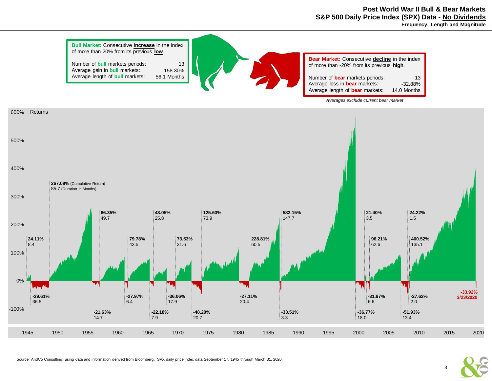**Post World War II Bull & Bear Markets S&P 500 Daily Price Index (SPX) Data - No Dividends Frequency, Length and Magnitude**



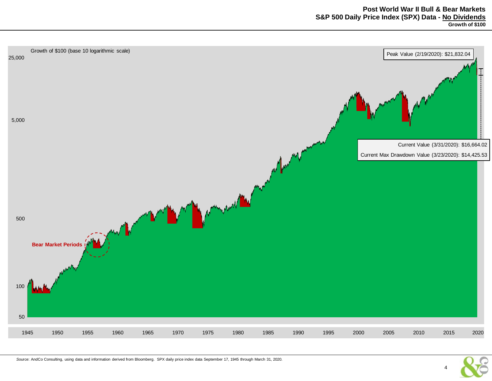

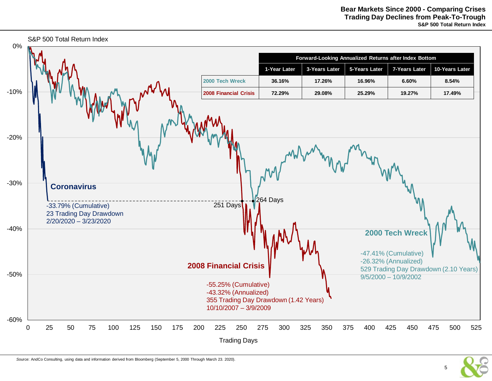

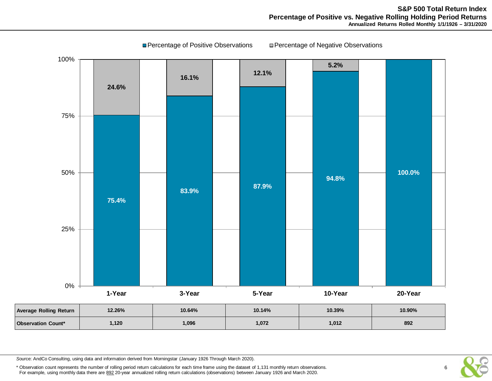

**■ Percentage of Positive Observations ■ Percentage of Negative Observations** 

*S*ource: AndCo Consulting, using data and information derived from Morningstar (January 1926 Through March 2020).

\* Observation count represents the number of rolling period return calculations for each time frame using the dataset of 1,131 monthly return observations. For example, using monthly data there are 892 20-year annualized rolling return calculations (observations) between January 1926 and March 2020.

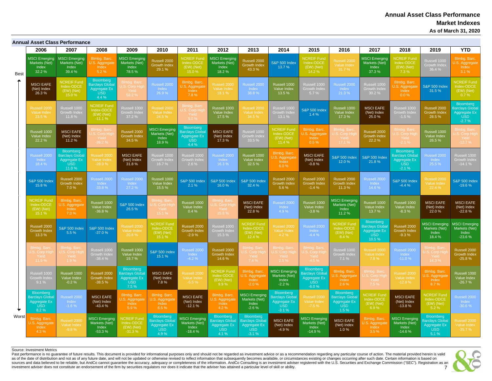# **Annual Asset Class Performance Market Indexes As of March 31, 2020**

|             |                                                                   | <b>Annual Asset Class Performance</b>                                             |                                                                           |                                                                    |                                                                          |                                                                            |                                                                  |                                                                              |                                                              |                                                                      |                                                                   |                                                                            |                                                                              |                                                                  |                                                                      |
|-------------|-------------------------------------------------------------------|-----------------------------------------------------------------------------------|---------------------------------------------------------------------------|--------------------------------------------------------------------|--------------------------------------------------------------------------|----------------------------------------------------------------------------|------------------------------------------------------------------|------------------------------------------------------------------------------|--------------------------------------------------------------|----------------------------------------------------------------------|-------------------------------------------------------------------|----------------------------------------------------------------------------|------------------------------------------------------------------------------|------------------------------------------------------------------|----------------------------------------------------------------------|
|             | 2006                                                              | 2007                                                                              | 2008                                                                      | 2009                                                               | 2010                                                                     | 2011                                                                       | 2012                                                             | 2013                                                                         | 2014                                                         | 2015                                                                 | 2016                                                              | 2017                                                                       | 2018                                                                         | 2019                                                             | <b>YTD</b>                                                           |
| <b>Best</b> | <b>MSCI Emerging</b><br>Markets (Net)<br>Index<br>32.2%           | <b>MSCI</b> Emerging<br>Markets (Net)<br>Index<br>39.4 %                          | Blmbg. Barc.<br>U.S. Aggregate<br>Index<br>5.2%                           | <b>MSCI Emerging</b><br>Markets (Net)<br>Index<br>78.5%            | Russell 2000<br><b>Growth Index</b><br>29.1 %                            | <b>NCREIF Fund</b><br>Index-ODCE<br>(EW) (Net)<br>15.0%                    | <b>MSCI Emerging</b><br>Markets (Net)<br>Index<br>18.2%          | Russell 2000<br><b>Growth Index</b><br>43.3%                                 | <b>S&amp;P 500 Index</b><br>13.7%                            | <b>NCREIF Fund</b><br>Index-ODCE<br>(EW) (Net)<br>14.2%              | Russell 2000<br><b>Value Index</b><br>31.7%                       | <b>MSCI Emeraina</b><br>Markets (Net)<br>Index<br>37.3%                    | <b>NCREIF Fund</b><br>Index-ODCE<br>(EW) (Net)<br>7.3%                       | Russell 1000<br>Growth Inde:<br>36.4 %                           | Blmbg. Barc.<br>J.S. Aggregate<br>Index<br>3.1%                      |
|             | <b>MSCI EAFE</b><br>(Net) Index<br>26.3%                          | <b>NCREIF Fund</b><br>Index-ODCE<br>(EW) (Net)<br>15.0%                           | Bloomberg<br><b>Barclays Globa</b><br>Aggregate Ex<br><b>USD</b><br>4.4 % | Ilmba. Bar<br>.S. Corp Hic<br>Yield<br>58.2%                       | Russell 2000<br>Index<br>26.9%                                           | Blmba, Barc.<br>J.S. Aggregate<br>Index<br>7.8%                            | Russell 2000<br><b>Value Index</b><br>18.1%                      | Russell 2000<br>Index<br>38.8%                                               | Russell 1000<br>Value Index<br>13.5 %                        | Russell 1000<br>Growth Index<br>5.7%                                 | Russell 2000<br>Index<br>21.3%                                    | Russell 1000<br>Growth Index<br>30.2%                                      | Blmbg. Barc.<br>U.S. Aggregate<br>Index<br>0.0%                              | <b>S&amp;P 500 Index</b><br>31.5%                                | <b>NCREIF Fund</b><br>Index-ODCE<br>(EW) (Net)<br>0.7%               |
|             | Russell 2000<br>Value Index<br>23.5 %                             | Russell 1000<br>Growth Index<br>11.8 %                                            | <b>NCREIF Fund</b><br>Index-ODCE<br>(EW) (Net)<br>$-11.1%$                | Russell 1000<br>Growth Index<br>37.2 %                             | Russell 2000<br>Value Index<br>24.5 %                                    | Blmbg. Bard<br>J.S. Corp Hig<br>Yield<br>50%                               | Russell 1000<br>Value Index<br>17.5%                             | Russell 2000<br>Value Index<br>34.5 %                                        | Russell 1000<br>Growth Index<br>13.1 %                       | <b>S&amp;P 500 Index</b><br>$1.4 \%$                                 | Russell 1000<br><b>Value Index</b><br>17.3%                       | <b>MSCI EAFE</b><br>(Net) Index<br>25.0%                                   | Russell 1000<br>Growth Index<br>$-1.5%$                                      | Russell 2000<br><b>Growth Index</b><br>28.5%                     | Bloomberg<br><b>Barclays Globa</b><br>Aggregate Ex<br>USD<br>$-2.7%$ |
|             | Russell 1000<br>Value Index<br>22.2 %                             | <b>MSCI EAFE</b><br>(Net) Index<br>11.2%                                          | Blmbg. Bar<br>J.S. Corp Hio<br>Yield<br>$-26.2%$                          | Russell 2000<br><b>Growth Index</b><br>34.5 %                      | <b>MSCI Emerging</b><br>Markets (Net)<br><b>Index</b><br>18.9%           | Bloomberg<br><b>Barclays Global</b><br>Aggregate Ex<br><b>USD</b><br>4.4 % | <b>MSCI EAFE</b><br>(Net) Index<br>17.3%                         | Russell 1000<br><b>Growth Index</b><br>33.5 %                                | <b>NCREIF Fund</b><br>Index-ODCE<br>(EW) (Net)<br>11.4 %     | Blmbg. Barc.<br>U.S. Aggregate<br>Index<br>0.5%                      | <b>Blmbg. Bard</b><br>J.S. Corp Hiq<br>Yield<br>17.1 %            | Russell 2000<br><b>Growth Index</b><br>22.2 %                              | Blmbg. Bar<br>U.S. Corp Hig<br>Yield<br>$-2.1%$                              | Russell 1000<br>Value Index<br>26.5%                             | mbg. Barc<br>S. Corp High<br>Yield<br>12.7%                          |
|             | Russell 2000<br>Index<br>18.4 %                                   | <b>Bloomberg</b><br><b>Barclays Global</b><br>Aggregate Ex<br><b>USD</b><br>11.0% | Russell 2000<br>Value Index<br>$-28.9%$                                   | <b>MSCI EAFE</b><br>(Net) Index<br>31.8%                           | Russell 1000<br>Growth Index<br>16.7%                                    | Russell 1000<br>Growth Index<br>$2.6\%$                                    | Russell 2000<br>Index<br>16.3%                                   | Russell 1000<br>Value Index<br>32.5 %                                        | Blmbg. Barc.<br>J.S. Aggregate<br>Index<br>6.0%              | <b>MSCI EAFE</b><br>(Net) Index<br>$-0.8%$                           | <b>S&amp;P 500 Index</b><br>12.0 %                                | <b>S&amp;P 500 Index</b><br>21.8%                                          | Bloomberg<br><b>Barclays Global</b><br>Aggregate Ex<br><b>USD</b><br>$-2.1%$ | Russell 2000<br>Index<br>25.5 %                                  | Russell 1000<br>Growth Index<br>$-14.1%$                             |
|             | <b>S&amp;P 500 Index</b><br>15.8%                                 | Russell 2000<br>Growth Index<br>7.0 %                                             | Russell 2000<br>Index<br>$-33.8%$                                         | Russell 2000<br>Index<br>27.2 %                                    | Russell 1000<br>Value Index<br>15.5 %                                    | <b>S&amp;P 500 Index</b><br>2.1%                                           | <b>S&amp;P 500 Index</b><br>16.0%                                | S&P 500 Index<br>32.4 %                                                      | Russell 2000<br><b>Growth Index</b><br>5.6%                  | Russell 2000<br>Growth Index<br>$-1.4%$                              | Russell 2000<br>Growth Index<br>11.3%                             | Russell 2000<br>Index<br>14.6%                                             | <b>S&amp;P 500 Index</b><br>$-4.4%$                                          | Russell 2000<br><b>Value Index</b><br>22.4 %                     | <b>S&amp;P 500 Index</b><br>$-19.6%$                                 |
|             | <b>NCREIF Fund</b><br>Index-ODCE<br>$(EW)$ (Net)<br>15.1 %        | <b>Blmbg. Barc</b><br>U.S. Aggregate<br>Index<br>7.0 %                            | Russell 1000<br>Value Index<br>$-36.8%$                                   | <b>S&amp;P 500 Index</b><br>26.5%                                  | Blmbg. Bar<br>J.S. Corp Hig<br>Yield<br>15.1%                            | Russell 1000<br>Value Index<br>$0.4 \%$                                    | Blmbg. Bar<br>S. Corp High<br>Yield<br>15.8%                     | <b>MSCI EAFE</b><br>(Net) Index<br>22.8%                                     | Russell 2000<br>Index<br>4.9%                                | Russell 1000<br>Value Index<br>$-3.8%$                               | <b>MSCI Emerging</b><br>Markets (Net)<br>Index<br>11.2%           | Russell 1000<br>Value Index<br>13.7 %                                      | Russell 1000<br>Value Index<br>$-8.3%$                                       | <b>MSCI EAFE</b><br>(Net) Index<br>22.0%                         | <b>MSCI EAFE</b><br>(Net) Index<br>$-22.8%$                          |
|             | Russell 2000<br><b>Growth Index</b><br>13.3 %                     | <b>S&amp;P 500 Index</b><br>5.5 %                                                 | <b>S&amp;P 500 Index</b><br>$-37.0%$                                      | Russell 2000<br><b>Value Index</b><br>20.6 %                       | <b>NCREIF Fund</b><br>Index-ODCE<br>(EW) (Net)<br>15.1 %                 | Russell 2000<br>Growth Index<br>$-2.9%$                                    | Russell 1000<br>Growth Index<br>15.3 %                           | <b>NCREIF Fund</b><br>Index-ODCE<br>(EW) (Net)<br>12.4 %                     | Russell 2000<br><b>Value Index</b><br>4.2%                   | Russell 2000<br>Index<br>$-4.4%$                                     | <b>NCREIF Fund</b><br>Index-ODCE<br>(EW) (Net)<br>8.4 %           | Bloomberg<br><b>Barclays Global</b><br>Aggregate Ex<br><b>USD</b><br>10.5% | Russell 2000<br><b>Growth Index</b><br>$-9.3%$                               | <b>MSCI Emerging</b><br>Markets (Net)<br>Index<br>18.4%          | <b>MSCI Emerging</b><br>Markets (Net)<br>Index<br>$-23.6%$           |
|             | <b>Blmbg. Bard</b><br>U.S. Corp Hig<br>Yield<br>11.9%             | Blmba, Ba<br>U.S. Corp H<br>Yield<br>1.9%                                         | Russell 1000<br>Growth Index<br>-38.4 %                                   | Russell 1000<br>Value Index<br>19.7%                               | <b>S&amp;P 500 Index</b><br>15.1 %                                       | Russell 2000<br>Index<br>$-4.2%$                                           | Russell 2000<br><b>Growth Index</b><br>14.6 %                    | Blmbg. Bar<br>J.S. Corp Hi<br>Yield<br>7.4 %                                 | <b>Blmho Bard</b><br>J.S. Corp Hig<br>Yield<br>2.5%          | Blmbq. Bar<br>J.S. Corp Hig<br>Yield<br>$-4.5%$                      | Russell 1000<br>Growth Index<br>7.1%                              | Russell 2000<br><b>Value Index</b><br>7.8%                                 | Russell 2000<br>Index<br>$-11.0%$                                            | Blmbg. Bar<br>J.S. Corp Hi<br>Yield<br>14.3%                     | Russell 2000<br><b>Growth Index</b><br>$-25.8%$                      |
|             | Russell 1000<br>Growth Inde:<br>9.1%                              | Russell 1000<br>Value Index<br>$-0.2%$                                            | Russell 2000<br><b>Growth Index</b><br>$-38.5%$                           | Bloomberg<br><b>Barclays Globa</b><br>Aggregate Ex<br>USD<br>7.5 % | <b>MSCI EAFE</b><br>(Net) Index<br>7.8%                                  | Russell 2000<br><b>Value Index</b><br>$-5.5%$                              | <b>NCREIF Fund</b><br>Index-ODCE<br>(EW) (Net)<br>9.9%           | Blmbg. Barc<br>U.S. Aggregate<br>Index<br>$-2.0%$                            | <b>MSCI Emerging</b><br>Markets (Net)<br>Index<br>$-2.2%$    | Bloomberg<br><b>Barclays Globa</b><br>Aggregate Ex<br>USD<br>$-6.0%$ | Blmbg. Barc.<br>J.S. Aggregate<br>Index<br>2.6%                   | Blmbg, Bard<br>U.S. Corp Higl<br>Yield<br>7.5%                             | Russell 2000<br>Value Index<br>$-12.9%$                                      | Blmbg. Barc.<br>U.S. Aggregate<br>Index<br>8.7%                  | Russell 1000<br>Value Index<br>$-26.7%$                              |
|             | Bloomberg<br><b>Barclays Globa</b><br>Aggregate Ex<br>USD<br>8.2% | Russell 2000<br>Index<br>$-1.6%$                                                  | <b>MSCI EAFE</b><br>(Net) Index<br>$-43.4%$                               | Blmbg. Barc<br>J.S. Aggregati<br>Index<br>5.9%                     | <b>Blmbg. Barc</b><br>U.S. Aggregat<br>Index<br>6.5%                     | <b>MSCI EAFE</b><br>(Net) Index<br>$-12.1%$                                | Blmbg. Barc.<br>U.S. Aggregate<br>Index<br>4.2%                  | <b>MSCI Emerging</b><br>Markets (Net)<br>Index<br>$-2.6%$                    | Bloomberg<br>arclays Globa<br>Aggregate Ex<br>USD<br>$-3.1%$ | Russell 2000<br>Value Index<br>$-7.5%$                               | Bloomberg<br><b>Barclays Globa</b><br>Aggregate Ex<br>USD<br>1.5% | <b>NCREIF Fund</b><br>Index-ODCE<br>(EW) (Net)<br>6.9%                     | <b>MSCI EAFE</b><br>(Net) Index<br>$-13.8%$                                  | <b>NCREIF Fund</b><br>Index-ODCE<br>(EW) (Net)<br>5.2%           | Russell 2000<br>Index<br>$-30.6%$                                    |
| Worst       | Blmbg. Barc.<br>U.S. Aggregate<br>4.3%                            | Russell 2000<br>Value Index<br>$-9.8%$                                            | <b>MSCI Emerging</b><br>Markets (Net)<br>Index<br>$-53.3%$                | <b>NCREIF Fund</b><br>Index-ODCE<br>(EW) (Net)<br>$-31.3%$         | Bloomberg<br><b>Barclays Globa</b><br>Aggregate Ex<br><b>USD</b><br>4.9% | <b>MSCI</b> Emerging<br>Markets (Net)<br>Index<br>$-18.4%$                 | Bloomberg<br>arclays Globa<br>Aggregate Ex<br><b>USD</b><br>4.1% | Bloomberg<br><b>Barclays Global</b><br>Aggregate Ex<br><b>USD</b><br>$-3.1%$ | <b>MSCI EAFE</b><br>(Net) Index<br>$-4.9%$                   | <b>MSCI</b> Emerging<br>Markets (Net)<br>Index<br>$-14.9%$           | <b>MSCI EAFE</b><br>(Net) Index<br>1.0%                           | Blmbg. Barc.<br>U.S. Aggregate<br>3.5%                                     | <b>MSCI Emerging</b><br>Markets (Net)<br>Index<br>$-14.6%$                   | Bloomberg<br>arclays Globa<br>Aggregate Ex<br><b>USD</b><br>5.1% | Russell 2000<br>Value Index<br>$-35.7%$                              |

#### Source: Investment Metrics

Past performance is no guarantee of future results. This document is provided for informational purposes only and should not be regarded as investment advice or as a recommendation regarding any particular course of action sources and data believed to be reliable, but AndCo cannot guarantee the accuracy, adequacy or completeness of the information. AndCo Consulting is an investment adviser registered with the U.S. Securities and Exchange Com investment adviser does not constitute an endorsement of the firm by securities regulators nor does it indicate that the adviser has attained a particular level of skill or ability.

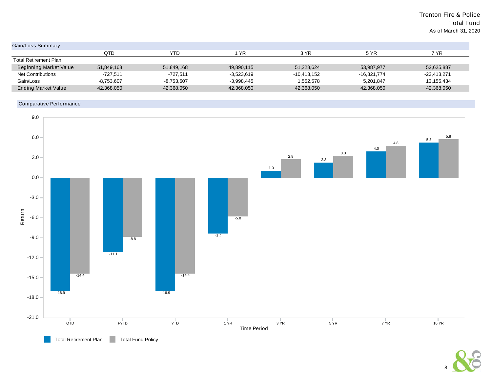# Trenton Fire & Police Total Fund As of March 31, 2020

| Gain/Loss Summary             |              |              |              |               |               |             |
|-------------------------------|--------------|--------------|--------------|---------------|---------------|-------------|
|                               | QTD          | YTD          | 1 YR         | 3 YR          | 5 YR          | 7 YR        |
| <b>Total Retirement Plan</b>  |              |              |              |               |               |             |
| <b>Beginning Market Value</b> | 51,849,168   | 51,849,168   | 49,890,115   | 51,228,624    | 53,987,977    | 52,625,887  |
| <b>Net Contributions</b>      | $-727.511$   | $-727.511$   | $-3.523.619$ | $-10,413,152$ | $-16.821.774$ | -23.413.271 |
| Gain/Loss                     | $-8.753.607$ | $-8,753,607$ | $-3.998,445$ | 1,552,578     | 5.201.847     | 13,155,434  |
| <b>Ending Market Value</b>    | 42,368,050   | 42,368,050   | 42,368,050   | 42,368,050    | 42,368,050    | 42,368,050  |
|                               |              |              |              |               |               |             |

# Comparative Performance



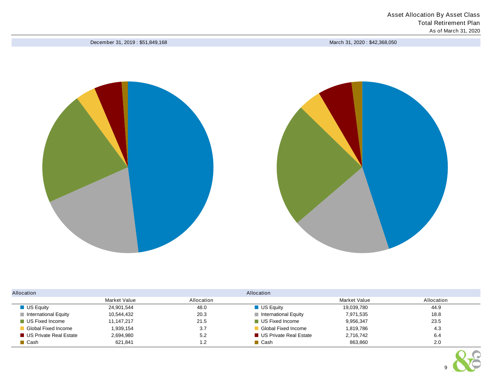December 31, 2019 : \$51,849,168 March 31, 2020 : \$42,368,050





| Allocation                          |              |            | Allocation                          |              |            |  |  |  |  |
|-------------------------------------|--------------|------------|-------------------------------------|--------------|------------|--|--|--|--|
|                                     | Market Value | Allocation |                                     | Market Value | Allocation |  |  |  |  |
| $\blacksquare$ US Equity            | 24,901,544   | 48.0       | $\blacksquare$ US Equity            | 19,039,780   | 44.9       |  |  |  |  |
| $\blacksquare$ International Equity | 10,544,432   | 20.3       | $\blacksquare$ International Equity | 7,971,535    | 18.8       |  |  |  |  |
| ■ US Fixed Income                   | 11, 147, 217 | 21.5       | <b>US Fixed Income</b>              | 9,956,347    | 23.5       |  |  |  |  |
| Global Fixed Income                 | 1,939,154    | 3.7        | Global Fixed Income                 | 1,819,786    | 4.3        |  |  |  |  |
| ■ US Private Real Estate            | 2,694,980    | 5.2        | <b>US Private Real Estate</b>       | 2,716,742    | 6.4        |  |  |  |  |
| <b>■ Cash</b>                       | 621,841      | 1.2        | $\blacksquare$ Cash                 | 863,860      | 2.0        |  |  |  |  |

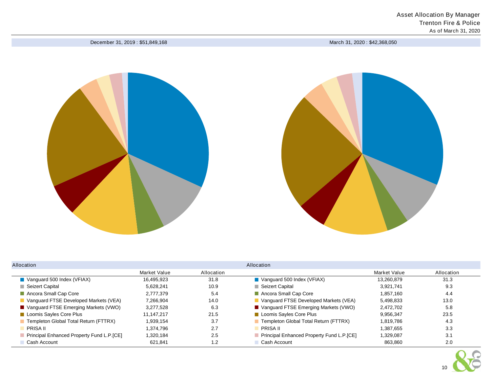December 31, 2019 : \$51,849,168 March 31, 2020 : \$42,368,050





| Allocation                                   |              |            | Allocation                                |              |            |  |  |  |  |  |
|----------------------------------------------|--------------|------------|-------------------------------------------|--------------|------------|--|--|--|--|--|
|                                              | Market Value | Allocation |                                           | Market Value | Allocation |  |  |  |  |  |
| $\blacksquare$ Vanguard 500 Index (VFIAX)    | 16.495.923   | 31.8       | $\blacksquare$ Vanguard 500 Index (VFIAX) | 13.260.879   | 31.3       |  |  |  |  |  |
| Seizert Capital                              | 5.628.241    | 10.9       | Seizert Capital                           | 3,921,741    | 9.3        |  |  |  |  |  |
| Ancora Small Cap Core                        | 2.777.379    | 5.4        | Ancora Small Cap Core                     | 1.857.160    | 4.4        |  |  |  |  |  |
| Vanguard FTSE Developed Markets (VEA)        | 7.266.904    | 14.0       | Vanguard FTSE Developed Markets (VEA)     | 5.498.833    | 13.0       |  |  |  |  |  |
| ■ Vanguard FTSE Emerging Markets (VWO)       | 3.277.528    | 6.3        | ■ Vanguard FTSE Emerging Markets (VWO)    | 2.472.702    | 5.8        |  |  |  |  |  |
| Loomis Sayles Core Plus                      | 11.147.217   | 21.5       | Loomis Sayles Core Plus                   | 9.956.347    | 23.5       |  |  |  |  |  |
| <b>Templeton Global Total Return (FTTRX)</b> | 1.939.154    | 3.7        | Templeton Global Total Return (FTTRX)     | 1.819.786    | 4.3        |  |  |  |  |  |
| <b>PRISA II</b>                              | 1.374.796    | 2.7        | <b>PRISA II</b>                           | 1.387.655    | 3.3        |  |  |  |  |  |
| Principal Enhanced Property Fund L.P.[CE]    | 1.320.184    | 2.5        | Principal Enhanced Property Fund L.P.[CE] | 1,329,087    | 3.1        |  |  |  |  |  |
| Cash Account                                 | 621.841      | 1.2        | Cash Account                              | 863,860      | 2.0        |  |  |  |  |  |

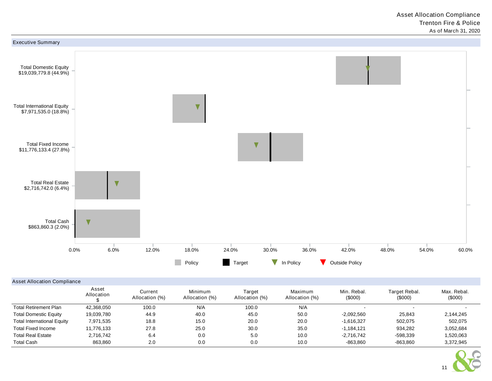

## Asset Allocation Compliance

|                                   | Asset<br>Allocation | Current<br>Allocation (%) | Minimum<br>Allocation (%) | Target<br>Allocation (%) | Maximum<br>Allocation (%) | Min. Rebal.<br>(0,00)    | Target Rebal.<br>(\$000) | Max. Rebal.<br>(0,00) |
|-----------------------------------|---------------------|---------------------------|---------------------------|--------------------------|---------------------------|--------------------------|--------------------------|-----------------------|
| <b>Total Retirement Plan</b>      | 42.368.050          | 100.0                     | N/A                       | 100.0                    | N/A                       | $\overline{\phantom{0}}$ |                          |                       |
| <b>Total Domestic Equity</b>      | 19,039,780          | 44.9                      | 40.0                      | 45.0                     | 50.0                      | $-2.092.560$             | 25.843                   | 2,144,245             |
| <b>Total International Equity</b> | 7,971,535           | 18.8                      | 15.0                      | 20.0                     | 20.0                      | $-1.616.327$             | 502.075                  | 502,075               |
| <b>Total Fixed Income</b>         | 11,776,133          | 27.8                      | 25.0                      | 30.0                     | 35.0                      | $-1.184.121$             | 934.282                  | 3,052,684             |
| <b>Total Real Estate</b>          | 2,716,742           | 6.4                       | 0.0                       | 5.0                      | 10.0                      | $-2,716,742$             | $-598.339$               | 1,520,063             |
| <b>Total Cash</b>                 | 863.860             | 2.0                       | 0.0                       | 0.0                      | 10.0                      | $-863,860$               | $-863,860$               | 3,372,945             |

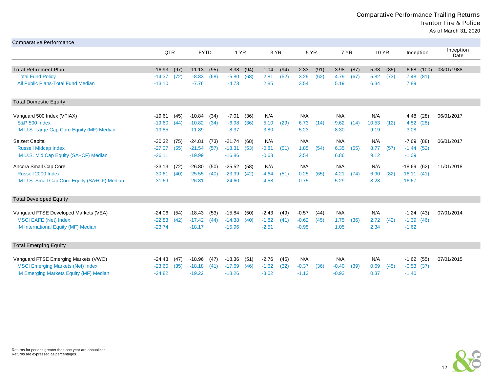Comparative Performance Trailing Returns Trenton Fire & Police As of March 31, 2020

| <b>Comparative Performance</b>                                                   |                      |              |                      |      |                      |              |                    |              |                    |      |                    |      |              |      |                         |       |                   |
|----------------------------------------------------------------------------------|----------------------|--------------|----------------------|------|----------------------|--------------|--------------------|--------------|--------------------|------|--------------------|------|--------------|------|-------------------------|-------|-------------------|
|                                                                                  | QTR                  |              | <b>FYTD</b>          |      | 1 YR                 |              | 3 YR               |              | 5 YR               |      | 7 YR               |      | <b>10 YR</b> |      | Inception               |       | Inception<br>Date |
| <b>Total Retirement Plan</b>                                                     | $-16.93$             | (97)         | $-11.13$             | (95) | $-8.38$              |              | 1.04               |              | 2.33               | (91) | 3.98               | (87) | 5.33         | (85) | 6.68                    | (100) | 03/01/1988        |
| <b>Total Fund Policy</b>                                                         | $-14.37$             | (72)         | $-8.83$              | (68) | $-5.80$              | (94)<br>(68) | 2.81               | (94)<br>(52) | 3.29               | (62) | 4.79               | (67) | 5.82         | (73) | 7.48(81)                |       |                   |
| All Public Plans-Total Fund Median                                               | $-13.10$             |              | $-7.76$              |      | $-4.73$              |              | 2.85               |              | 3.54               |      | 5.19               |      | 6.34         |      | 7.89                    |       |                   |
|                                                                                  |                      |              |                      |      |                      |              |                    |              |                    |      |                    |      |              |      |                         |       |                   |
| <b>Total Domestic Equity</b>                                                     |                      |              |                      |      |                      |              |                    |              |                    |      |                    |      |              |      |                         |       |                   |
| Vanguard 500 Index (VFIAX)                                                       | $-19.61$             | (45)         | $-10.84$             | (34) | $-7.01$              | (36)         | N/A                |              | N/A                |      | N/A                |      | N/A          |      | 4.48                    | (28)  | 06/01/2017        |
| <b>S&amp;P 500 Index</b>                                                         | $-19.60$             | (44)         | $-10.82$             | (34) | $-6.98$              | (36)         | 5.10               | (29)         | 6.73               | (14) | 9.62               | (14) | 10.53        | (12) | 4.52 (28)               |       |                   |
| IM U.S. Large Cap Core Equity (MF) Median                                        | $-19.85$             |              | $-11.89$             |      | $-8.37$              |              | 3.80               |              | 5.23               |      | 8.30               |      | 9.19         |      | 3.08                    |       |                   |
| Seizert Capital                                                                  | $-30.32$             | (75)         | $-24.81$             | (73) | $-21.74$             | (68)         | N/A                |              | N/A                |      | N/A                |      | N/A          |      | $-7.69$                 | (88)  | 06/01/2017        |
| <b>Russell Midcap Index</b>                                                      | $-27.07$             | (55)         | $-21.54$             | (57) | $-18.31$             | (53)         | $-0.81$            | (51)         | 1.85               | (54) | 6.35               | (55) | 8.77         | (57) | $-1.44(52)$             |       |                   |
| IM U.S. Mid Cap Equity (SA+CF) Median                                            | $-26.11$             |              | $-19.99$             |      | $-16.86$             |              | $-0.63$            |              | 2.54               |      | 6.86               |      | 9.12         |      | $-1.09$                 |       |                   |
| Ancora Small Cap Core                                                            | $-33.13$             | (72)         | $-26.80$             | (50) | $-25.52$             | (58)         | N/A                |              | N/A                |      | N/A                |      | N/A          |      | $-18.69$                | (62)  | 11/01/2018        |
| Russell 2000 Index                                                               | $-30.61$             | (40)         | $-25.55$             | (40) | $-23.99$             | (42)         | $-4.64$            | (51)         | $-0.25$            | (65) | 4.21               | (74) | 6.90         | (82) | $-16.11(41)$            |       |                   |
| IM U.S. Small Cap Core Equity (SA+CF) Median                                     | $-31.69$             |              | $-26.81$             |      | $-24.60$             |              | $-4.58$            |              | 0.75               |      | 5.29               |      | 8.28         |      | $-16.67$                |       |                   |
| <b>Total Developed Equity</b>                                                    |                      |              |                      |      |                      |              |                    |              |                    |      |                    |      |              |      |                         |       |                   |
| Vanguard FTSE Developed Markets (VEA)                                            | $-24.06$             | (54)         | $-18.43$             | (53) | $-15.84$             | (50)         | $-2.43$            | (49)         | $-0.57$            | (44) | N/A                |      | N/A          |      | $-1.24(43)$             |       | 07/01/2014        |
| <b>MSCI EAFE (Net) Index</b>                                                     | $-22.83$             | (42)         | $-17.42$             | (44) | $-14.38$             | (40)         | $-1.82$            | (41)         | $-0.62$            | (45) | 1.75               | (36) | 2.72         | (42) | $-1.39(46)$             |       |                   |
| IM International Equity (MF) Median                                              | $-23.74$             |              | $-18.17$             |      | $-15.96$             |              | $-2.51$            |              | $-0.95$            |      | 1.05               |      | 2.34         |      | $-1.62$                 |       |                   |
| <b>Total Emerging Equity</b>                                                     |                      |              |                      |      |                      |              |                    |              |                    |      |                    |      |              |      |                         |       |                   |
|                                                                                  |                      |              |                      |      |                      |              |                    |              | N/A                |      |                    |      |              |      |                         |       |                   |
| Vanguard FTSE Emerging Markets (VWO)<br><b>MSCI Emerging Markets (Net) Index</b> | $-24.43$             | (47)<br>(35) | $-18.96$             | (47) | $-18.36$             | (51)         | $-2.76$            | (46)         |                    |      | N/A                |      | N/A          |      | $-1.62$ (55)            |       | 07/01/2015        |
| <b>IM Emerging Markets Equity (MF) Median</b>                                    | $-23.60$<br>$-24.82$ |              | $-18.18$<br>$-19.22$ | (41) | $-17.69$<br>$-18.26$ | (46)         | $-1.62$<br>$-3.02$ | (32)         | $-0.37$<br>$-1.13$ | (36) | $-0.40$<br>$-0.93$ | (39) | 0.69<br>0.37 | (45) | $-0.53$ (37)<br>$-1.40$ |       |                   |
|                                                                                  |                      |              |                      |      |                      |              |                    |              |                    |      |                    |      |              |      |                         |       |                   |

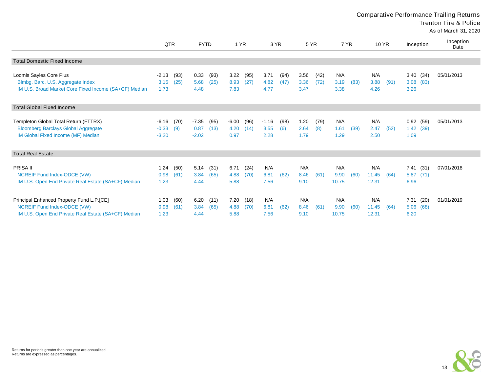Comparative Performance Trailing Returns

Trenton Fire & Police

As of March 31, 2020

|                                                       |         |      |             |      |         |      |         |      |      |      |       |      |       |      |               |      | AS UI MAIGH JI, ZUZU |
|-------------------------------------------------------|---------|------|-------------|------|---------|------|---------|------|------|------|-------|------|-------|------|---------------|------|----------------------|
|                                                       | QTR     |      | <b>FYTD</b> |      | 1 YR    |      | 3 YR    |      | 5 YR |      | 7 YR  |      | 10 YR |      | Inception     |      | Inception<br>Date    |
| <b>Total Domestic Fixed Income</b>                    |         |      |             |      |         |      |         |      |      |      |       |      |       |      |               |      |                      |
|                                                       |         |      |             |      |         |      |         |      |      |      |       |      |       |      |               |      |                      |
| Loomis Sayles Core Plus                               | $-2.13$ | (93) | 0.33        | (93) | 3.22    | (95) | 3.71    | (94) | 3.56 | (42) | N/A   |      | N/A   |      | 3.40(34)      |      | 05/01/2013           |
| Blmbg. Barc. U.S. Aggregate Index                     | 3.15    | (25) | 5.68        | (25) | 8.93    | (27) | 4.82    | (47) | 3.36 | (72) | 3.19  | (83) | 3.88  | (91) | $3.08$ $(83)$ |      |                      |
| IM U.S. Broad Market Core Fixed Income (SA+CF) Median | 1.73    |      | 4.48        |      | 7.83    |      | 4.77    |      | 3.47 |      | 3.38  |      | 4.26  |      | 3.26          |      |                      |
| <b>Total Global Fixed Income</b>                      |         |      |             |      |         |      |         |      |      |      |       |      |       |      |               |      |                      |
|                                                       |         |      |             |      |         |      |         |      |      |      |       |      |       |      |               |      |                      |
| Templeton Global Total Return (FTTRX)                 | -6.16   | (70) | $-7.35$     | (95) | $-6.00$ | (96) | $-1.16$ | (98) | 1.20 | (79) | N/A   |      | N/A   |      | 0.92(59)      |      | 05/01/2013           |
| <b>Bloomberg Barclays Global Aggregate</b>            | $-0.33$ | (9)  | 0.87        | (13) | 4.20    | (14) | 3.55    | (6)  | 2.64 | (8)  | 1.61  | (39) | 2.47  | (52) | 1.42(39)      |      |                      |
| IM Global Fixed Income (MF) Median                    | $-3.20$ |      | $-2.02$     |      | 0.97    |      | 2.28    |      | 1.79 |      | 1.29  |      | 2.50  |      | 1.09          |      |                      |
| <b>Total Real Estate</b>                              |         |      |             |      |         |      |         |      |      |      |       |      |       |      |               |      |                      |
| PRISA II                                              | 1.24    | (50) | 5.14        | (31) | 6.71    | (24) | N/A     |      | N/A  |      | N/A   |      | N/A   |      | 7.41          | (31) | 07/01/2018           |
| NCREIF Fund Index-ODCE (VW)                           | 0.98    | (61) | 3.84        | (65) | 4.88    | (70) | 6.81    | (62) | 8.46 | (61) | 9.90  | (60) | 11.45 | (64) | 5.87(71)      |      |                      |
| IM U.S. Open End Private Real Estate (SA+CF) Median   | 1.23    |      | 4.44        |      | 5.88    |      | 7.56    |      | 9.10 |      | 10.75 |      | 12.31 |      | 6.96          |      |                      |
| Principal Enhanced Property Fund L.P.[CE]             | 1.03    | (60) | 6.20        | (11) | 7.20    | (18) | N/A     |      | N/A  |      | N/A   |      | N/A   |      | 7.31          | (20) | 01/01/2019           |
| NCREIF Fund Index-ODCE (VW)                           | 0.98    | (61) | 3.84        | (65) | 4.88    | (70) | 6.81    | (62) | 8.46 | (61) | 9.90  | (60) | 11.45 | (64) | 5.06 (68)     |      |                      |
| IM U.S. Open End Private Real Estate (SA+CF) Median   | 1.23    |      | 4.44        |      | 5.88    |      | 7.56    |      | 9.10 |      | 10.75 |      | 12.31 |      | 6.20          |      |                      |

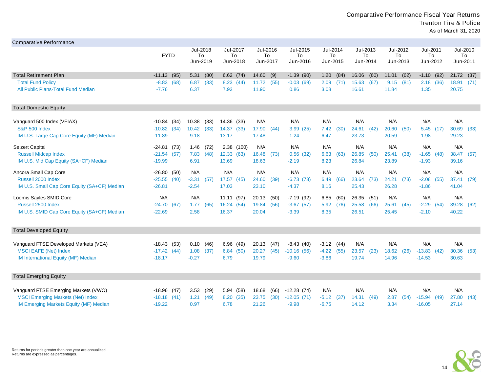| <b>Comparative Performance</b>                    |                                  |                              |                            |                               |                            |                              |                                |                               |                             |                                |
|---------------------------------------------------|----------------------------------|------------------------------|----------------------------|-------------------------------|----------------------------|------------------------------|--------------------------------|-------------------------------|-----------------------------|--------------------------------|
|                                                   | <b>FYTD</b>                      | Jul-2018<br>To<br>Jun-2019   | Jul-2017<br>To<br>Jun-2018 | Jul-2016<br>To<br>Jun-2017    | Jul-2015<br>To<br>Jun-2016 | Jul-2014<br>To<br>Jun-2015   | Jul-2013<br>To<br>Jun-2014     | Jul-2012<br>To<br>Jun-2013    | Jul-2011<br>To<br>Jun-2012  | Jul-2010<br>To<br>Jun-2011     |
|                                                   |                                  |                              |                            |                               |                            |                              |                                |                               |                             |                                |
| Total Retirement Plan<br><b>Total Fund Policy</b> | $-11.13$ (95)<br>$-8.83$<br>(68) | 5.31<br>(80)<br>6.87<br>(33) | 6.62(74)<br>8.23(44)       | 14.60<br>(9)<br>11.72<br>(55) | $-1.39(90)$<br>$-0.03(69)$ | 1.20<br>(84)<br>2.09<br>(71) | 16.06<br>(60)<br>15.63<br>(67) | 11.01<br>(62)<br>9.15<br>(81) | $-1.10$<br>(92)<br>2.18(36) | 21.72<br>(37)<br>18.91<br>(71) |
| All Public Plans-Total Fund Median                | $-7.76$                          | 6.37                         | 7.93                       | 11.90                         | 0.86                       | 3.08                         | 16.61                          | 11.84                         | 1.35                        | 20.75                          |
| <b>Total Domestic Equity</b>                      |                                  |                              |                            |                               |                            |                              |                                |                               |                             |                                |
| Vanguard 500 Index (VFIAX)                        | -10.84<br>(34)                   | 10.38<br>(33)                | 14.36 (33)                 | N/A                           | N/A                        | N/A                          | N/A                            | N/A                           | N/A                         | N/A                            |
| <b>S&amp;P 500 Index</b>                          | $-10.82$<br>(34)                 | 10.42<br>(33)                | 14.37 (33)                 | 17.90<br>(44)                 | 3.99(25)                   | 7.42<br>(30)                 | 24.61<br>(42)                  | 20.60<br>(50)                 | 5.45(17)                    | 30.69<br>(33)                  |
| IM U.S. Large Cap Core Equity (MF) Median         | $-11.89$                         | 9.18                         | 13.17                      | 17.48                         | 1.24                       | 6.47                         | 23.73                          | 20.59                         | 1.98                        | 29.23                          |
| Seizert Capital                                   | $-24.81(73)$                     | 1.46<br>(72)                 | 2.38(100)                  | N/A                           | N/A                        | N/A                          | N/A                            | N/A                           | N/A                         | N/A                            |
| <b>Russell Midcap Index</b>                       | $-21.54$ (57)                    | (48)<br>7.83                 | 12.33(63)                  | 16.48<br>(73)                 | 0.56(32)                   | 6.63<br>(63)                 | 26.85<br>(50)                  | 25.41<br>(38)                 | $-1.65$<br>(48)             | 38.47<br>(57)                  |
| IM U.S. Mid Cap Equity (SA+CF) Median             | $-19.99$                         | 6.91                         | 13.69                      | 18.63                         | $-2.19$                    | 8.23                         | 26.84                          | 23.89                         | $-1.93$                     | 39.16                          |
| Ancora Small Cap Core                             | $-26.80$<br>(50)                 | N/A                          | N/A                        | N/A                           | N/A                        | N/A                          | N/A                            | N/A                           | N/A                         | N/A                            |
| Russell 2000 Index                                | $-25.55$ (40)                    | $-3.31$<br>(57)              | 17.57 (45)                 | 24.60<br>(39)                 | $-6.73(73)$                | 6.49<br>(66)                 | 23.64<br>(73)                  | 24.21<br>(73)                 | $-2.08$<br>(55)             | 37.41<br>(79)                  |
| IM U.S. Small Cap Core Equity (SA+CF) Median      | $-26.81$                         | $-2.54$                      | 17.03                      | 23.10                         | $-4.37$                    | 8.16                         | 25.43                          | 26.28                         | $-1.86$                     | 41.04                          |
| Loomis Sayles SMID Core                           | N/A                              | N/A                          | 11.11(97)                  | 20.13<br>(50)                 | $-7.19(92)$                | 6.85<br>(60)                 | (51)<br>26.35                  | N/A                           | N/A                         | N/A                            |
| Russell 2500 Index                                | $-24.70(67)$                     | (65)<br>1.77                 | 16.24(54)                  | 19.84<br>(56)                 | $-3.67(57)$                | 5.92<br>(76)                 | (66)<br>25.58                  | 25.61<br>(45)                 | $-2.29$<br>(54)             | 39.28<br>(62)                  |
| IM U.S. SMID Cap Core Equity (SA+CF) Median       | $-22.69$                         | 2.58                         | 16.37                      | 20.04                         | $-3.39$                    | 8.35                         | 26.51                          | 25.45                         | $-2.10$                     | 40.22                          |
| <b>Total Developed Equity</b>                     |                                  |                              |                            |                               |                            |                              |                                |                               |                             |                                |
| Vanguard FTSE Developed Markets (VEA)             | -18.43<br>(53)                   | 0.10<br>(46)                 | 6.96(49)                   | 20.13<br>(47)                 | $-8.43(40)$                | $-3.12(44)$                  | N/A                            | N/A                           | N/A                         | N/A                            |
| <b>MSCI EAFE (Net) Index</b>                      | $-17.42(44)$                     | 1.08<br>(37)                 | 6.84(50)                   | 20.27<br>(45)                 | $-10.16(56)$               | $-4.22$<br>(55)              | 23.57<br>(23)                  | 18.62<br>(26)                 | $-13.83$<br>(42)            | 30.36<br>(53)                  |
| IM International Equity (MF) Median               | $-18.17$                         | $-0.27$                      | 6.79                       | 19.79                         | $-9.60$                    | $-3.86$                      | 19.74                          | 14.96                         | $-14.53$                    | 30.63                          |
| <b>Total Emerging Equity</b>                      |                                  |                              |                            |                               |                            |                              |                                |                               |                             |                                |
| Vanguard FTSE Emerging Markets (VWO)              | $-18.96$ (47)                    | 3.53<br>(29)                 | 5.94 (58)                  | 18.68<br>(66)                 | $-12.28(74)$               | N/A                          | N/A                            | N/A                           | N/A                         | N/A                            |
| <b>MSCI Emerging Markets (Net) Index</b>          | $-18.18(41)$                     | 1.21<br>(49)                 | 8.20 (35)                  | 23.75<br>(30)                 | $-12.05(71)$               | $-5.12$<br>(37)              | 14.31<br>(49)                  | 2.87<br>(54)                  | $-15.94(49)$                | 27.80<br>(43)                  |
| IM Emerging Markets Equity (MF) Median            | $-19.22$                         | 0.97                         | 6.78                       | 21.26                         | $-9.98$                    | $-6.75$                      | 14.12                          | 3.34                          | $-16.05$                    | 27.14                          |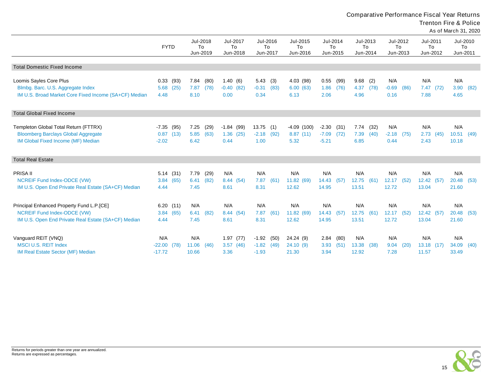Comparative Performance Fiscal Year Returns

Trenton Fire & Police

As of March 31, 2020

|                                                       | <b>FYTD</b> |      | Jul-2018<br>To<br>Jun-2019 |      | Jun-2018    | Jul-2017<br>To | Jul-2016<br>Jun-2017 | To   | Jul-2015<br>To<br>Jun-2016 | Jul-2014<br>To<br>Jun-2015 |      | Jul-2013<br>To<br>Jun-2014 |      | To<br>Jun-2013 | Jul-2012 | Jul-2011<br>To<br>Jun-2012 |      | Jul-2010<br>To<br>Jun-2011 |      |
|-------------------------------------------------------|-------------|------|----------------------------|------|-------------|----------------|----------------------|------|----------------------------|----------------------------|------|----------------------------|------|----------------|----------|----------------------------|------|----------------------------|------|
| <b>Total Domestic Fixed Income</b>                    |             |      |                            |      |             |                |                      |      |                            |                            |      |                            |      |                |          |                            |      |                            |      |
| Loomis Sayles Core Plus                               | 0.33        | (93) | 7.84                       | (80) | 1.40(6)     |                | 5.43                 | (3)  | 4.03 (98)                  | 0.55                       | (99) | 9.68                       | (2)  | N/A            |          | N/A                        |      | N/A                        |      |
| Blmbg. Barc. U.S. Aggregate Index                     | 5.68        | (25) | 7.87                       | (78) | $-0.40(82)$ |                | $-0.31$              | (83) | 6.00(63)                   | 1.86                       | (76) | 4.37                       | (78) | $-0.69$        | (86)     | 7.47(72)                   |      | 3.90                       | (82) |
| IM U.S. Broad Market Core Fixed Income (SA+CF) Median | 4.48        |      | 8.10                       |      | 0.00        |                | 0.34                 |      | 6.13                       | 2.06                       |      | 4.96                       |      | 0.16           |          | 7.88                       |      | 4.65                       |      |
| <b>Total Global Fixed Income</b>                      |             |      |                            |      |             |                |                      |      |                            |                            |      |                            |      |                |          |                            |      |                            |      |
| Templeton Global Total Return (FTTRX)                 | $-7.35$     | (95) | 7.25                       | (29) | $-1.84(99)$ |                | 13.75                | (1)  | $-4.09(100)$               | $-2.30$                    | (31) | 7.74                       | (32) | N/A            |          | N/A                        |      | N/A                        |      |
| <b>Bloomberg Barclays Global Aggregate</b>            | 0.87        | (13) | 5.85                       | (63) | 1.36(25)    |                | $-2.18$              | (92) | 8.87(11)                   | $-7.09$                    | (72) | 7.39                       | (40) | $-2.18$        | (75)     | 2.73                       | (45) | 10.51                      | (49) |
| IM Global Fixed Income (MF) Median                    | $-2.02$     |      | 6.42                       |      | 0.44        |                | 1.00                 |      | 5.32                       | $-5.21$                    |      | 6.85                       |      | 0.44           |          | 2.43                       |      | 10.18                      |      |
| <b>Total Real Estate</b>                              |             |      |                            |      |             |                |                      |      |                            |                            |      |                            |      |                |          |                            |      |                            |      |
| <b>PRISA II</b>                                       | 5.14(31)    |      | 7.79                       | (29) | N/A         |                | N/A                  |      | N/A                        | N/A                        |      | N/A                        |      | N/A            |          | N/A                        |      | N/A                        |      |
| NCREIF Fund Index-ODCE (VW)                           | 3.84        | (65) | 6.41                       | (82) | 8.44 (54)   |                | 7.87                 | (61) | 11.82 (69)                 | 14.43                      | (57) | 12.75                      | (61) | 12.17          | (52)     | 12.42                      | (57) | 20.48                      | (53) |
| IM U.S. Open End Private Real Estate (SA+CF) Median   | 4.44        |      | 7.45                       |      | 8.61        |                | 8.31                 |      | 12.62                      | 14.95                      |      | 13.51                      |      | 12.72          |          | 13.04                      |      | 21.60                      |      |
| Principal Enhanced Property Fund L.P.[CE]             | 6.20(11)    |      | N/A                        |      | N/A         |                | N/A                  |      | N/A                        | N/A                        |      | N/A                        |      | N/A            |          | N/A                        |      | N/A                        |      |
| NCREIF Fund Index-ODCE (VW)                           | 3.84        | (65) | 6.41                       | (82) | 8.44 (54)   |                | 7.87                 | (61) | 11.82 (69)                 | 14.43                      | (57) | 12.75                      | (61) | 12.17          | (52)     | 12.42 (57)                 |      | 20.48                      | (53) |
| IM U.S. Open End Private Real Estate (SA+CF) Median   | 4.44        |      | 7.45                       |      | 8.61        |                | 8.31                 |      | 12.62                      | 14.95                      |      | 13.51                      |      | 12.72          |          | 13.04                      |      | 21.60                      |      |
| Vanguard REIT (VNQ)                                   | N/A         |      | N/A                        |      | 1.97(77)    |                | $-1.92$              | (50) | 24.24 (9)                  | 2.84                       | (80) | N/A                        |      | N/A            |          | N/A                        |      | N/A                        |      |
| <b>MSCI U.S. REIT Index</b>                           | $-22.00$    | (78) | 11.06                      | (46) | 3.57(46)    |                | $-1.82$              | (49) | 24.10(9)                   | 3.93                       | (51) | 13.38                      | (38) | 9.04           | (20)     | 13.18 (17)                 |      | 34.09                      | (40) |
| IM Real Estate Sector (MF) Median                     | $-17.72$    |      | 10.66                      |      | 3.36        |                | $-1.93$              |      | 21.30                      | 3.94                       |      | 12.92                      |      | 7.28           |          | 11.57                      |      | 33.49                      |      |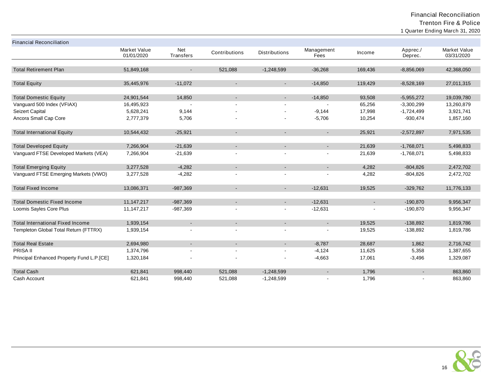| <b>Financial Reconciliation</b>           |                                   |                  |               |                          |                    |         |                     |                                   |
|-------------------------------------------|-----------------------------------|------------------|---------------|--------------------------|--------------------|---------|---------------------|-----------------------------------|
|                                           | <b>Market Value</b><br>01/01/2020 | Net<br>Transfers | Contributions | <b>Distributions</b>     | Management<br>Fees | Income  | Apprec./<br>Deprec. | <b>Market Value</b><br>03/31/2020 |
|                                           |                                   |                  |               |                          |                    |         |                     |                                   |
| <b>Total Retirement Plan</b>              | 51,849,168                        |                  | 521,088       | $-1,248,599$             | $-36,268$          | 169,436 | $-8,856,069$        | 42,368,050                        |
| <b>Total Equity</b>                       | 35,445,976                        | $-11,072$        | $\sim$        | $\blacksquare$           | $-14,850$          | 119,429 | $-8,528,169$        | 27,011,315                        |
|                                           |                                   |                  |               |                          |                    |         |                     |                                   |
| <b>Total Domestic Equity</b>              | 24,901,544                        | 14,850           |               | $\overline{\phantom{a}}$ | $-14,850$          | 93,508  | $-5,955,272$        | 19,039,780                        |
| Vanguard 500 Index (VFIAX)                | 16,495,923                        |                  |               | $\blacksquare$           |                    | 65,256  | $-3,300,299$        | 13,260,879                        |
| Seizert Capital                           | 5,628,241                         | 9,144            |               |                          | $-9,144$           | 17,998  | $-1,724,499$        | 3,921,741                         |
| Ancora Small Cap Core                     | 2,777,379                         | 5,706            |               |                          | $-5,706$           | 10,254  | $-930,474$          | 1,857,160                         |
| <b>Total International Equity</b>         | 10,544,432                        | $-25,921$        | $\sim$        | $\blacksquare$           | $\sim$             | 25,921  | $-2,572,897$        | 7,971,535                         |
| <b>Total Developed Equity</b>             | 7,266,904                         | $-21,639$        | $\sim$        | $\sim$                   | $\sim$             | 21,639  | $-1,768,071$        | 5,498,833                         |
| Vanguard FTSE Developed Markets (VEA)     | 7,266,904                         | $-21,639$        |               |                          |                    | 21,639  | $-1,768,071$        | 5,498,833                         |
| <b>Total Emerging Equity</b>              | 3,277,528                         | $-4,282$         |               | $\blacksquare$           | $\blacksquare$     | 4,282   | $-804,826$          | 2,472,702                         |
| Vanguard FTSE Emerging Markets (VWO)      | 3,277,528                         | $-4,282$         |               | $\blacksquare$           |                    | 4,282   | $-804,826$          | 2,472,702                         |
| <b>Total Fixed Income</b>                 | 13,086,371                        | $-987,369$       |               | $\blacksquare$           | $-12,631$          | 19,525  | $-329,762$          | 11,776,133                        |
| <b>Total Domestic Fixed Income</b>        | 11, 147, 217                      | $-987,369$       | $\sim$        | $\blacksquare$           | $-12,631$          | ۰.      | $-190,870$          | 9,956,347                         |
| Loomis Sayles Core Plus                   | 11, 147, 217                      | $-987,369$       |               | L,                       | $-12,631$          |         | $-190,870$          | 9,956,347                         |
| <b>Total International Fixed Income</b>   | 1,939,154                         | $\sim$           |               | $\blacksquare$           | $\blacksquare$     | 19,525  | $-138,892$          | 1,819,786                         |
| Templeton Global Total Return (FTTRX)     | 1,939,154                         |                  |               | $\blacksquare$           |                    | 19,525  | $-138,892$          | 1,819,786                         |
| <b>Total Real Estate</b>                  | 2,694,980                         | $\sim$           | $\sim$        | $\blacksquare$           | $-8,787$           | 28,687  | 1,862               | 2,716,742                         |
| PRISA II                                  | 1,374,796                         |                  |               |                          | $-4,124$           | 11,625  | 5,358               | 1,387,655                         |
| Principal Enhanced Property Fund L.P.[CE] | 1,320,184                         |                  |               |                          | $-4,663$           | 17,061  | $-3,496$            | 1,329,087                         |
| <b>Total Cash</b>                         | 621,841                           | 998,440          | 521,088       | $-1,248,599$             | $\blacksquare$     | 1,796   | $\sim$              | 863,860                           |
| Cash Account                              | 621,841                           | 998,440          | 521,088       | $-1,248,599$             |                    | 1,796   |                     | 863,860                           |

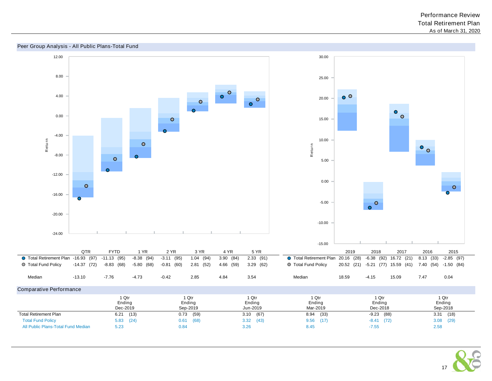

#### Peer Group Analysis - All Public Plans-Total Fund

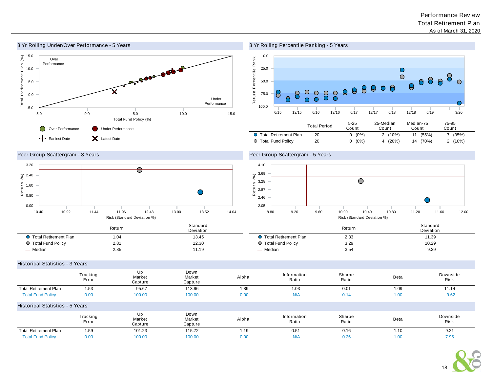

## 3 Yr Rolling Percentile Ranking - 5 Years



## Peer Group Scattergram - 3 Years



## Peer Group Scattergram - 5 Years



|                         | Return | Standard<br>Deviation |                         | Return | Standard<br>Deviation |
|-------------------------|--------|-----------------------|-------------------------|--------|-----------------------|
| ● Total Retirement Plan | .04    | 13.45                 | Ⅰ Total Retirement Plan | 2.33   | 11.39                 |
| ○ Total Fund Policy     | 2.81   | 12.30                 | ◯ Total Fund Policy     | 3.29   | 10.29                 |
| Median                  | 2.85   | 11.19                 | _ Median                | 3.54   | 9.39                  |

#### Historical Statistics - 3 Years

|                                        | Tracking<br>Error | Up<br>Market<br>Capture | Down<br>Market<br>Capture | Alpha   | Information<br>Ratio | Sharpe<br>Ratio | Beta | Downside<br><b>Risk</b> |
|----------------------------------------|-------------------|-------------------------|---------------------------|---------|----------------------|-----------------|------|-------------------------|
| <b>Total Retirement Plan</b>           | 1.53              | 95.67                   | 113.96                    | $-1.89$ | $-1.03$              | 0.01            | 1.09 | 11.14                   |
| <b>Total Fund Policy</b>               | 0.00              | 100.00                  | 100.00                    | 0.00    | N/A                  | 0.14            | 1.00 | 9.62                    |
| <b>Historical Statistics - 5 Years</b> |                   |                         |                           |         |                      |                 |      |                         |
|                                        | Tracking<br>Error | Up<br>Market<br>Capture | Down<br>Market<br>Capture | Alpha   | Information<br>Ratio | Sharpe<br>Ratio | Beta | Downside<br><b>Risk</b> |
| <b>Total Retirement Plan</b>           | 1.59              | 101.23                  | 115.72                    | $-1.19$ | $-0.51$              | 0.16            | 1.10 | 9.21                    |
| <b>Total Fund Policy</b>               | 0.00              | 100.00                  | 100.00                    | 0.00    | N/A                  | 0.26            | 1.00 | 7.95                    |

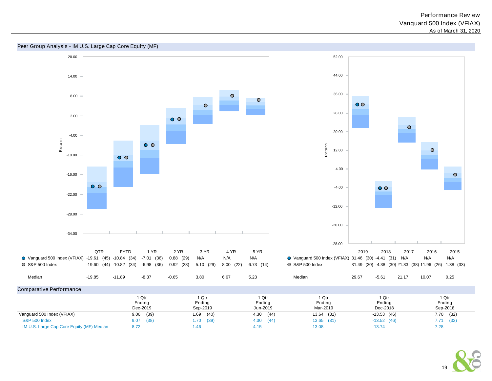



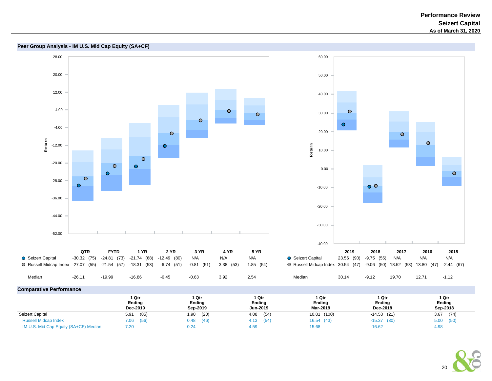

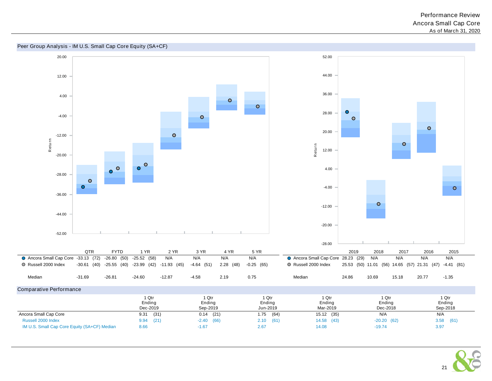

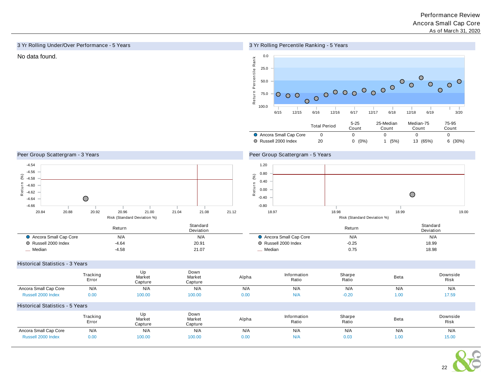## 3 Yr Rolling Under/Over Performance - 5 Years

## 3 Yr Rolling Percentile Ranking - 5 Years



## Peer Group Scattergram - 3 Years



## Peer Group Scattergram - 5 Years



|                       | Return  | Standard<br>Deviation |                       | Return  | Standard<br>Deviation |
|-----------------------|---------|-----------------------|-----------------------|---------|-----------------------|
| Ancora Small Cap Core | N/A     | N/A                   | Ancora Small Cap Core | N/A     | N/A                   |
| O Russell 2000 Index  | $-4.64$ | 20.91                 | O Russell 2000 Index  | $-0.25$ | 18.99                 |
| Median                | $-4.56$ | 21.07                 | Median                | 0.75    | 18.98                 |

#### Historical Statistics - 3 Years

|                                        | Tracking<br>Error | Up<br>Market<br>Capture | Down<br>Market<br>Capture | Alpha | Information<br>Ratio | Sharpe<br>Ratio | Beta | Downside<br>Risk |
|----------------------------------------|-------------------|-------------------------|---------------------------|-------|----------------------|-----------------|------|------------------|
| Ancora Small Cap Core                  | N/A               | N/A                     | N/A                       | N/A   | N/A                  | N/A             | N/A  | N/A              |
| Russell 2000 Index                     | 0.00              | 100.00                  | 100.00                    | 0.00  | N/A                  | $-0.20$         | 1.00 | 17.59            |
| <b>Historical Statistics - 5 Years</b> |                   |                         |                           |       |                      |                 |      |                  |
|                                        | Tracking<br>Error | Up<br>Market<br>Capture | Down<br>Market<br>Capture | Alpha | Information<br>Ratio | Sharpe<br>Ratio | Beta | Downside<br>Risk |
| Ancora Small Cap Core                  | N/A               | N/A                     | N/A                       | N/A   | N/A                  | N/A             | N/A  | N/A              |
| Russell 2000 Index                     | 0.00              | 100.00                  | 100.00                    | 0.00  | N/A                  | 0.03            | 1.00 | 15.00            |

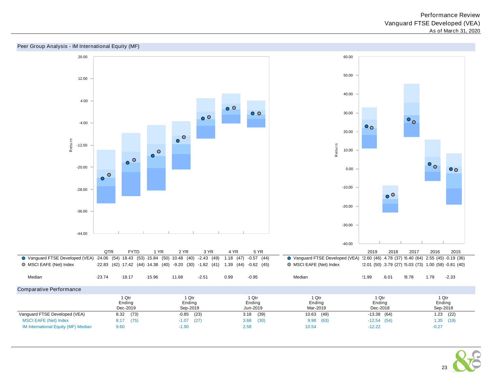

#### Peer Group Analysis - IM International Equity (MF)

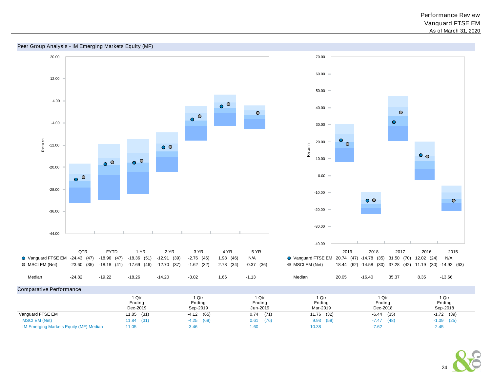



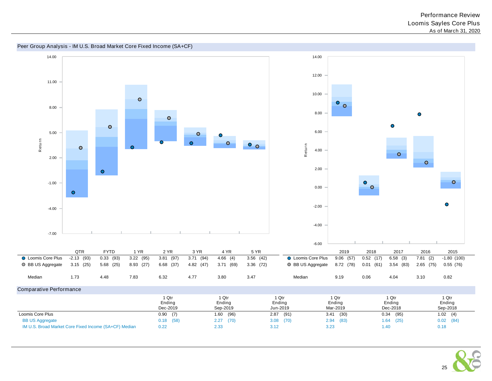

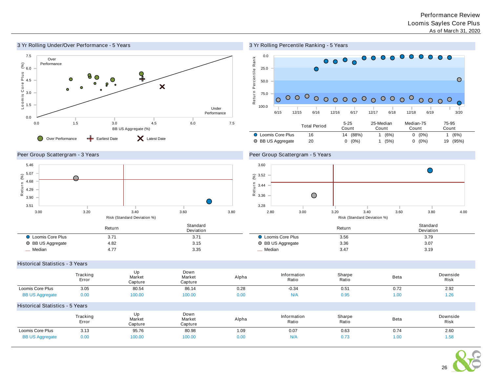

3 Yr Rolling Percentile Ranking - 5 Years



Peer Group Scattergram - 3 Years



Peer Group Scattergram - 5 Years



|                           | Return | Standard<br>Deviation |                         | Return | Standard<br>Deviation |
|---------------------------|--------|-----------------------|-------------------------|--------|-----------------------|
| <b>D</b> Loomis Core Plus | 3.71   | 3.71                  | <b>Loomis Core Plus</b> | 3.56   | 3.79                  |
| ○ BB US Aggregate         | 4.82   | 3.15                  | BB US Aggregate         | 3.36   | 3.07                  |
| _ Median                  | 4.77   | 3.35                  | _ Median                | 3.47   | 3.19                  |

Historical Statistics - 3 Years

|                                        | Tracking<br>Error | Up<br>Market<br>Capture | Down<br>Market<br>Capture | Alpha | Information<br>Ratio | Sharpe<br>Ratio | <b>Beta</b> | Downside<br><b>Risk</b> |
|----------------------------------------|-------------------|-------------------------|---------------------------|-------|----------------------|-----------------|-------------|-------------------------|
| Loomis Core Plus                       | 3.05              | 80.54                   | 86.14                     | 0.28  | $-0.34$              | 0.51            | 0.72        | 2.92                    |
| <b>BB US Aggregate</b>                 | 0.00              | 100.00                  | 100.00                    | 0.00  | N/A                  | 0.95            | 1.00        | 1.26                    |
| <b>Historical Statistics - 5 Years</b> |                   |                         |                           |       |                      |                 |             |                         |
|                                        | Tracking<br>Error | Up<br>Market<br>Capture | Down<br>Market<br>Capture | Alpha | Information<br>Ratio | Sharpe<br>Ratio | <b>Beta</b> | Downside<br>Risk        |
| Loomis Core Plus                       | 3.13              | 95.76                   | 80.98                     | 1.09  | 0.07                 | 0.63            | 0.74        | 2.60                    |
| <b>BB US Aggregate</b>                 | 0.00              | 100.00                  | 100.00                    | 0.00  | N/A                  | 0.73            | 1.00        | 1.58                    |

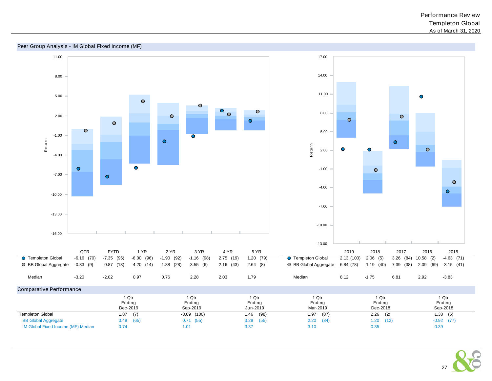



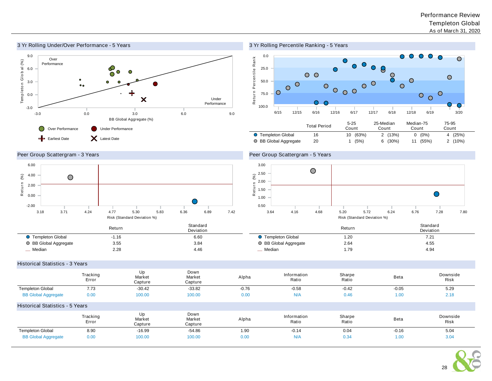

# 3 Yr Rolling Percentile Ranking - 5 Years



## Peer Group Scattergram - 3 Years



# Peer Group Scattergram - 5 Years



|                       | Return | Standard<br>Deviation |                         | Return<br>$   -$ | Standard<br>Deviation |
|-----------------------|--------|-----------------------|-------------------------|------------------|-----------------------|
| Templeton Global      | 1.16   | 6.60                  | <b>Templeton Global</b> | 1.20             | 7.ZI                  |
| ○ BB Global Aggregate | 3.55   | 3.84                  | ○ BB Global Aggregate   | 2.64             | 4.55                  |
| Median                | 2.28   | 4.46                  | Median                  | 1.79             | 4.94                  |

#### Historical Statistics - 3 Years

|                            | Tracking<br>Error                      | Up<br>Market<br>Capture | Down<br>Market<br>Capture | Alpha   | Information<br>Ratio | Sharpe<br>Ratio | Beta    | Downside<br>Risk |  |  |  |  |
|----------------------------|----------------------------------------|-------------------------|---------------------------|---------|----------------------|-----------------|---------|------------------|--|--|--|--|
| <b>Templeton Global</b>    | 7.73                                   | $-30.42$                | $-33.82$                  | $-0.76$ | $-0.58$              | $-0.42$         | $-0.05$ | 5.29             |  |  |  |  |
| <b>BB Global Aggregate</b> | 0.00                                   | 100.00                  | 100.00                    | 0.00    | N/A                  | 0.46            | 1.00    | 2.18             |  |  |  |  |
|                            | <b>Historical Statistics - 5 Years</b> |                         |                           |         |                      |                 |         |                  |  |  |  |  |
|                            | Tracking<br>Error                      | Up<br>Market<br>Capture | Down<br>Market<br>Capture | Alpha   | Information<br>Ratio | Sharpe<br>Ratio | Beta    | Downside<br>Risk |  |  |  |  |
| <b>Templeton Global</b>    | 8.90                                   | $-16.99$                | -54.86                    | 1.90    | $-0.14$              | 0.04            | $-0.16$ | 5.04             |  |  |  |  |
| <b>BB Global Aggregate</b> | 0.00                                   | 100.00                  | 100.00                    | 0.00    | N/A                  | 0.34            | 1.00    | 3.04             |  |  |  |  |

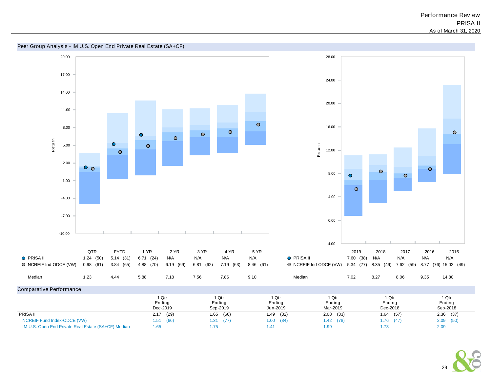

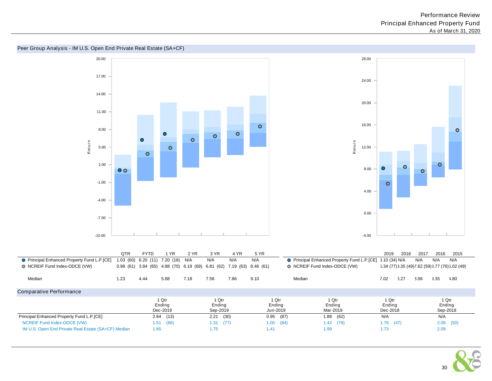#### 20.00 28.00 17.00 24.00 14.00 20.00 11.00 16.00  $\circ$ 8.00  $\bullet$  $\bullet$  $\bullet$  $\circ$  $\bullet$  $\bullet$ R etu rn R etu rn 5.00  $\bullet$ 12.00  $\circ$  $\circ$ 2.00  $\bullet$ 8.00  $\bigcap$  $\bullet$  $\circ$ -1.00  $\circ$ 4.00 -4.00 0.00 -7.00 -10.00 -4.00 2019 2018 2017 2016 2015 QTR FYTD 1 YR 2 YR 3 YR 4 YR 5 YR ● Principal Enhanced Property Fund L.P.[CE] 1.03 (60) 6.20 (11) 7.20 (18) N/A N/A N/A N/A N/A Principal Enhanced Property Fund L.P.[CE] 8.10 (34) N/A N/A N/A N/A NCREIF Fund Index-ODCE (VW) 0.98 (61) 3.84 (65) 4.88 (70) 6.19 (69) 6.81 (62) 7.19 (63) 8.46 (61) ● NCREIF Fund Index-ODCE (VW) 5.34 (77) 3.35 (49) 7.62 (59) 3.77 (76) 5.02 (49) Median 1.23 4.44 5.88 7.18 7.56 7.86 9.10 Median 7.02 8.27 8.06 9.35 14.80 1 Qtr 1 Qtr 1 Qtr 1 Qtr 1 Qtr 1 Qtr Ending Ending Ending Ending Ending Ending

# Peer Group Analysis - IM U.S. Open End Private Real Estate (SA+CF)

| O Principal Enhanced Property Fund L.P.[CE]         |      | 1.03(60)6.20(11) | 7.20 (18) N/A                             |      | N/A                         | N/A       | N/A                         |        | O Principal Enhanced Property Fund L.P. [CE] 3.10 (34) N/A |                             |                                                   | N/A  | N/A                         | N/A         |
|-----------------------------------------------------|------|------------------|-------------------------------------------|------|-----------------------------|-----------|-----------------------------|--------|------------------------------------------------------------|-----------------------------|---------------------------------------------------|------|-----------------------------|-------------|
| O NCREIF Fund Index-ODCE (VW)                       |      |                  | $0.98$ (61) 3.84 (65) 4.88 (70) 6.19 (69) |      | 6.81 (62)                   | 7.19 (63) | 8.46 (61)                   |        | O NCREIF Fund Index-ODCE (VW)                              |                             | 5.34 (77) 3.35 (49) 7.62 (59) 3.77 (76) 5.02 (49) |      |                             |             |
| Median                                              | 1.23 | 4.44             | 5.88                                      | 7.18 | 7.56                        | 7.86      | 9.10                        | Median |                                                            | 7.02                        | 3.27                                              | 3.06 | 3.35                        | 1.80        |
| Comparative Performance                             |      |                  |                                           |      |                             |           |                             |        |                                                            |                             |                                                   |      |                             |             |
|                                                     |      |                  | 1 Qtr<br>Ending<br>Dec-2019               |      | 1 Qtr<br>Ending<br>Sep-2019 |           | 1 Qtr<br>Ending<br>Jun-2019 |        | 1 Qtr<br>Ending<br>Mar-2019                                | 1 Qtr<br>Ending<br>Dec-2018 |                                                   |      | 1 Qtr<br>Ending<br>Sep-2018 |             |
| Principal Enhanced Property Fund L.P.[CE]           |      |                  | 2.84(13)                                  |      | 2.21                        | (30)      | 0.95                        | (87)   | (62)<br>1.88                                               | N/A                         |                                                   |      | N/A                         |             |
| NCREIF Fund Index-ODCE (VW)                         |      | 1.51             | (66)                                      |      | (77)<br>1.31                |           | 1.00                        | (84)   | $1.42$ (78)                                                | 1.76                        | (47)                                              |      |                             | $2.09$ (50) |
| IM U.S. Open End Private Real Estate (SA+CF) Median |      | 1.65             |                                           |      | 1.75                        |           | 1.41                        |        | 1.99                                                       | 1.73                        |                                                   |      | 2.09                        |             |

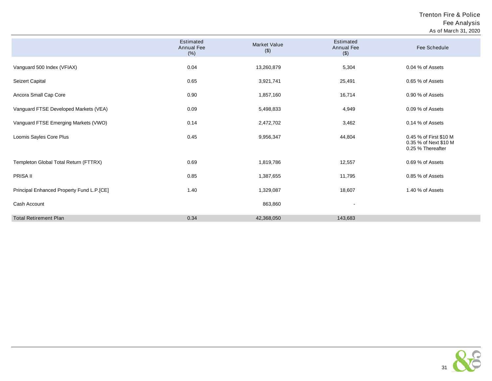Trenton Fire & Police Fee Analysis As of March 31, 2020

|                                           | Estimated<br><b>Annual Fee</b><br>(% ) | <b>Market Value</b><br>$($ \$) | Estimated<br>Annual Fee<br>$(\$)$ | Fee Schedule                                                         |
|-------------------------------------------|----------------------------------------|--------------------------------|-----------------------------------|----------------------------------------------------------------------|
| Vanguard 500 Index (VFIAX)                | 0.04                                   | 13,260,879                     | 5,304                             | 0.04 % of Assets                                                     |
| Seizert Capital                           | 0.65                                   | 3,921,741                      | 25,491                            | 0.65 % of Assets                                                     |
| Ancora Small Cap Core                     | 0.90                                   | 1,857,160                      | 16,714                            | 0.90 % of Assets                                                     |
| Vanguard FTSE Developed Markets (VEA)     | 0.09                                   | 5,498,833                      | 4,949                             | 0.09 % of Assets                                                     |
| Vanguard FTSE Emerging Markets (VWO)      | 0.14                                   | 2,472,702                      | 3,462                             | 0.14 % of Assets                                                     |
| Loomis Sayles Core Plus                   | 0.45                                   | 9,956,347                      | 44,804                            | 0.45 % of First \$10 M<br>0.35 % of Next \$10 M<br>0.25 % Thereafter |
| Templeton Global Total Return (FTTRX)     | 0.69                                   | 1,819,786                      | 12,557                            | 0.69 % of Assets                                                     |
| PRISA II                                  | 0.85                                   | 1,387,655                      | 11,795                            | 0.85 % of Assets                                                     |
| Principal Enhanced Property Fund L.P.[CE] | 1.40                                   | 1,329,087                      | 18,607                            | 1.40 % of Assets                                                     |
| Cash Account                              |                                        | 863,860                        | $\qquad \qquad \blacksquare$      |                                                                      |
| <b>Total Retirement Plan</b>              | 0.34                                   | 42,368,050                     | 143,683                           |                                                                      |

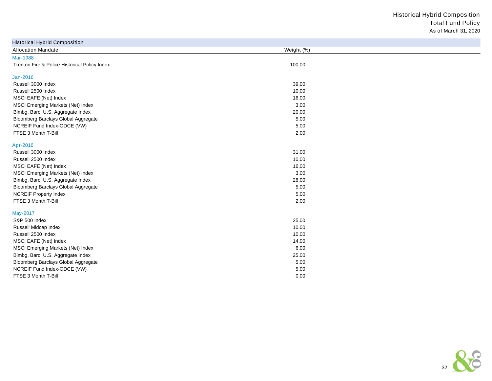Historical Hybrid Composition Total Fund Policy As of March 31, 2020

| <b>Historical Hybrid Composition</b>          |            |  |
|-----------------------------------------------|------------|--|
| <b>Allocation Mandate</b>                     | Weight (%) |  |
| Mar-1988                                      |            |  |
| Trenton Fire & Police Historical Policy Index | 100.00     |  |
| Jan-2016                                      |            |  |
| Russell 3000 Index                            | 39.00      |  |
| Russell 2500 Index                            | 10.00      |  |
| MSCI EAFE (Net) Index                         | 16.00      |  |
| MSCI Emerging Markets (Net) Index             | 3.00       |  |
| Blmbg. Barc. U.S. Aggregate Index             | 20.00      |  |
| Bloomberg Barclays Global Aggregate           | 5.00       |  |
| NCREIF Fund Index-ODCE (VW)                   | 5.00       |  |
| FTSE 3 Month T-Bill                           | 2.00       |  |
| Apr-2016                                      |            |  |
| Russell 3000 Index                            | 31.00      |  |
| Russell 2500 Index                            | 10.00      |  |
| MSCI EAFE (Net) Index                         | 16.00      |  |
| MSCI Emerging Markets (Net) Index             | 3.00       |  |
| Blmbg. Barc. U.S. Aggregate Index             | 28.00      |  |
| Bloomberg Barclays Global Aggregate           | 5.00       |  |
| <b>NCREIF Property Index</b>                  | 5.00       |  |
| FTSE 3 Month T-Bill                           | 2.00       |  |
| May-2017                                      |            |  |
| S&P 500 Index                                 | 25.00      |  |
| Russell Midcap Index                          | 10.00      |  |
| Russell 2500 Index                            | 10.00      |  |
| MSCI EAFE (Net) Index                         | 14.00      |  |
| MSCI Emerging Markets (Net) Index             | 6.00       |  |
| Blmbg. Barc. U.S. Aggregate Index             | 25.00      |  |
| Bloomberg Barclays Global Aggregate           | 5.00       |  |
| NCREIF Fund Index-ODCE (VW)                   | 5.00       |  |
| FTSE 3 Month T-Bill                           | 0.00       |  |

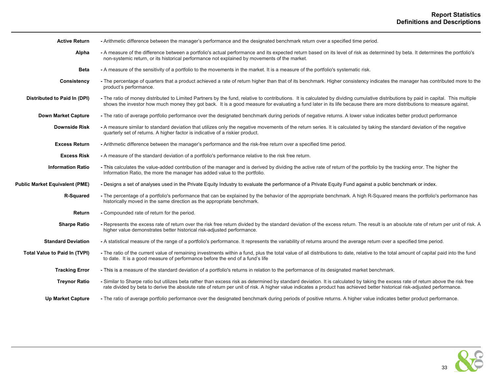| <b>Active Return</b>                  | - Arithmetic difference between the manager's performance and the designated benchmark return over a specified time period.                                                                                                                                                                                                                                    |
|---------------------------------------|----------------------------------------------------------------------------------------------------------------------------------------------------------------------------------------------------------------------------------------------------------------------------------------------------------------------------------------------------------------|
| Alpha                                 | - A measure of the difference between a portfolio's actual performance and its expected return based on its level of risk as determined by beta. It determines the portfolio's<br>non-systemic return, or its historical performance not explained by movements of the market.                                                                                 |
| <b>Beta</b>                           | - A measure of the sensitivity of a portfolio to the movements in the market. It is a measure of the portfolio's systematic risk.                                                                                                                                                                                                                              |
| Consistency                           | - The percentage of quarters that a product achieved a rate of return higher than that of its benchmark. Higher consistency indicates the manager has contributed more to the<br>product's performance.                                                                                                                                                        |
| Distributed to Paid In (DPI)          | - The ratio of money distributed to Limited Partners by the fund, relative to contributions. It is calculated by dividing cumulative distributions by paid in capital. This multiple<br>shows the investor how much money they got back. It is a good measure for evaluating a fund later in its life because there are more distributions to measure against. |
| <b>Down Market Capture</b>            | - The ratio of average portfolio performance over the designated benchmark during periods of negative returns. A lower value indicates better product performance                                                                                                                                                                                              |
| <b>Downside Risk</b>                  | - A measure similar to standard deviation that utilizes only the negative movements of the return series. It is calculated by taking the standard deviation of the negative<br>quarterly set of returns. A higher factor is indicative of a riskier product.                                                                                                   |
| <b>Excess Return</b>                  | - Arithmetic difference between the manager's performance and the risk-free return over a specified time period.                                                                                                                                                                                                                                               |
| <b>Excess Risk</b>                    | - A measure of the standard deviation of a portfolio's performance relative to the risk free return.                                                                                                                                                                                                                                                           |
| <b>Information Ratio</b>              | - This calculates the value-added contribution of the manager and is derived by dividing the active rate of return of the portfolio by the tracking error. The higher the<br>Information Ratio, the more the manager has added value to the portfolio.                                                                                                         |
| <b>Public Market Equivalent (PME)</b> | - Designs a set of analyses used in the Private Equity Industry to evaluate the performance of a Private Equity Fund against a public benchmark or index.                                                                                                                                                                                                      |
| R-Squared                             | - The percentage of a portfolio's performance that can be explained by the behavior of the appropriate benchmark. A high R-Squared means the portfolio's performance has<br>historically moved in the same direction as the appropriate benchmark.                                                                                                             |
| Return                                | - Compounded rate of return for the period.                                                                                                                                                                                                                                                                                                                    |
| <b>Sharpe Ratio</b>                   | - Represents the excess rate of return over the risk free return divided by the standard deviation of the excess return. The result is an absolute rate of return per unit of risk. A<br>higher value demonstrates better historical risk-adjusted performance.                                                                                                |
| <b>Standard Deviation</b>             | - A statistical measure of the range of a portfolio's performance. It represents the variability of returns around the average return over a specified time period.                                                                                                                                                                                            |
| <b>Total Value to Paid In (TVPI)</b>  | - The ratio of the current value of remaining investments within a fund, plus the total value of all distributions to date, relative to the total amount of capital paid into the fund<br>to date. It is a good measure of performance before the end of a fund's life                                                                                         |
| <b>Tracking Error</b>                 | - This is a measure of the standard deviation of a portfolio's returns in relation to the performance of its designated market benchmark.                                                                                                                                                                                                                      |
| <b>Treynor Ratio</b>                  | - Similar to Sharpe ratio but utilizes beta rather than excess risk as determined by standard deviation. It is calculated by taking the excess rate of return above the risk free<br>rate divided by beta to derive the absolute rate of return per unit of risk. A higher value indicates a product has achieved better historical risk-adjusted performance. |
| <b>Up Market Capture</b>              | - The ratio of average portfolio performance over the designated benchmark during periods of positive returns. A higher value indicates better product performance.                                                                                                                                                                                            |

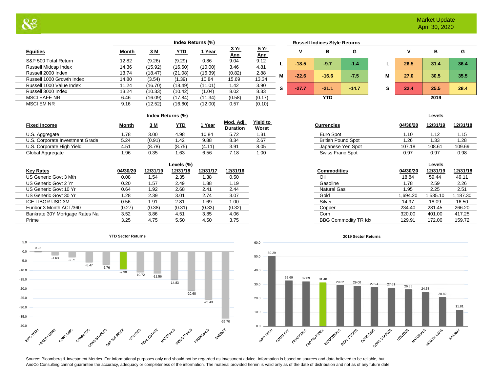|                           | Index Returns (%) |         |            |         |                           |                           |   |         | <b>Russell Indices Style Returns</b> |         |   |      |      |     |
|---------------------------|-------------------|---------|------------|---------|---------------------------|---------------------------|---|---------|--------------------------------------|---------|---|------|------|-----|
| <b>Equities</b>           | Month             | 3 M     | <b>YTD</b> | 1 Year  | <u>3 Yr</u><br><u>Ann</u> | <u>5 Yr</u><br><u>Ann</u> |   |         | в                                    | G       |   |      | в    |     |
| S&P 500 Total Return      | 12.82             | (9.26)  | (9.29)     | 0.86    | 9.04                      | 9.12                      |   | $-18.5$ | $-9.7$                               | $-1.4$  |   | 26.5 | 31.4 | 36. |
| Russell Midcap Index      | 14.36             | (15.92) | (16.60)    | (10.00) | 3.46                      | 4.81                      |   |         |                                      |         |   |      |      |     |
| Russell 2000 Index        | 13.74             | (18.47) | (21.08)    | (16.39) | (0.82)                    | 2.88                      | М | $-22.6$ | $-16.6$                              | $-7.5$  | м | 27.0 | 30.5 | 35. |
| Russell 1000 Growth Index | 14.80             | (3.54)  | (1.39)     | 10.84   | 15.69                     | 13.34                     |   |         |                                      |         |   |      |      |     |
| Russell 1000 Value Index  | 11.24             | (16.70) | (18.49)    | (11.01) | 1.42                      | 3.90                      | s | $-27.7$ | $-21.1$                              | $-14.7$ | s | 22.4 | 25.5 | 28. |
| Russell 3000 Index        | 13.24             | (10.33) | (10.42)    | (1.04)  | 8.02                      | 8.33                      |   |         |                                      |         |   |      |      |     |
| <b>MSCI EAFE NR</b>       | 6.46              | (16.09) | (17.84)    | (11.34) | (0.58)                    | (0.17)                    |   |         | <b>YTD</b>                           |         |   |      | 2019 |     |
| <b>MSCI EM NR</b>         | 9.16              | (12.52) | (16.60)    | (12.00) | 0.57                      | (0.10)                    |   |         |                                      |         |   |      |      |     |
|                           |                   |         |            |         |                           |                           |   |         |                                      |         |   |      |      |     |

|   |         | <b>Russell Indices Style Returns</b> |         |   |      |      |      |  |  |  |
|---|---------|--------------------------------------|---------|---|------|------|------|--|--|--|
|   | ٧       | в                                    | G       |   | ٧    | в    | G    |  |  |  |
| L | $-18.5$ | $-9.7$                               | $-1.4$  | L | 26.5 | 31.4 | 36.4 |  |  |  |
| M | $-22.6$ | $-16.6$                              | $-7.5$  | M | 27.0 | 30.5 | 35.5 |  |  |  |
| S | $-27.7$ | $-21.1$                              | $-14.7$ | s | 22.4 | 25.5 | 28.4 |  |  |  |
|   |         | <b>YTD</b>                           |         |   | 2019 |      |      |  |  |  |

| v    | в    | G    |
|------|------|------|
| 26.5 | 31.4 | 36.4 |
| 27.0 | 30.5 | 35.5 |
| 22.4 | 25.5 | 28.4 |
|      | 2019 |      |

| <b>Fixed Income</b>             | <b>Month</b>     | <u>3 M</u> | YTD.   | Year   | Mod. Adj.<br>Duration | <b>Yield to</b><br><b>Worst</b> | Currencies                | 04/30/20 | 12/31/19 | 12/31/1 |
|---------------------------------|------------------|------------|--------|--------|-----------------------|---------------------------------|---------------------------|----------|----------|---------|
| U.S. Aggregate                  | .78              | 3.00       | 4.98   | 10.84  | 5.72                  | 1.31                            | Euro Spot                 | .10      | .12      | 1.15    |
| U.S. Corporate Investment Grade | 5.24             | (0.91)     | 1.42   | 9.88   | 8.34                  | 2.67                            | <b>British Pound Spot</b> | .26      | l .33    | 1.28    |
| U.S. Corporate High Yield       | 4.5 <sup>4</sup> | (8.78)     | (8.75) | (4.11) | 3.91                  | 8.05                            | Japanese Yen Spot         | 107.18   | 108.61   | 109.69  |
| Global Aggregate                | 1.96             | 0.35       | 1.63   | 6.56   | 7.18                  | 1.00                            | Swiss Franc Spot          | 0.97     | 0.97     | 0.98    |

|                                |          |          | Levels (%) |          |          |
|--------------------------------|----------|----------|------------|----------|----------|
| <b>Key Rates</b>               | 04/30/20 | 12/31/19 | 12/31/18   | 12/31/17 | 12/31/16 |
| US Generic Govt 3 Mth          | 0.08     | 1.54     | 2.35       | 1.38     | 0.50     |
| US Generic Govt 2 Yr           | 0.20     | 1.57     | 2.49       | 1.88     | 1.19     |
| US Generic Govt 10 Yr          | 0.64     | 1.92     | 2.68       | 2.41     | 2.44     |
| US Generic Govt 30 Yr          | 1.28     | 2.39     | 3.01       | 2.74     | 3.07     |
| ICE LIBOR USD 3M               | 0.56     | 1.91     | 2.81       | 1.69     | 1.00     |
| Euribor 3 Month ACT/360        | (0.27)   | (0.38)   | (0.31)     | (0.33)   | (0.32)   |
| Bankrate 30Y Mortgage Rates Na | 3.52     | 3.86     | 4.51       | 3.85     | 4.06     |
| Prime                          | 3.25     | 4.75     | 5.50       | 4.50     | 3.75     |



 0.08 1.54 2.35 1.38 0.50 Oil 18.84 59.44 49.11 **Levels (%) Levels**

| ij.<br>n | Yield to<br><b>Worst</b> | Currencies                | 04/30/20 | 12/31/19 | 12/31/18 |
|----------|--------------------------|---------------------------|----------|----------|----------|
|          | 1.31                     | Euro Spot                 | 1.10     | 1.12     | 1.15     |
|          | 2.67                     | <b>British Pound Spot</b> | 1.26     | 1.33     | 1.28     |
|          | 8.05                     | Japanese Yen Spot         | 107.18   | 108.61   | 109.69   |
|          | 1.00                     | Swiss Franc Spot          | 0.97     | 0.97     | 0.98     |
|          |                          |                           |          |          |          |

|      |                             |          | Levels   |          |
|------|-----------------------------|----------|----------|----------|
| 1/16 | <b>Commodities</b>          | 04/30/20 | 12/31/19 | 12/31/18 |
| 0    | Oil                         | 18.84    | 59.44    | 49.11    |
| 9    | Gasoline                    | 1.78     | 2.59     | 2.26     |
| 4    | <b>Natural Gas</b>          | 1.95     | 2.25     | 2.51     |
|      | Gold                        | 1.694.20 | 1,535.10 | 1,187.30 |
| 0    | Silver                      | 14.97    | 18.09    | 16.50    |
| I2)  | Copper                      | 234.40   | 281.45   | 266.20   |
| 6    | Corn                        | 320.00   | 401.00   | 417.25   |
| 5    | <b>BBG Commodity TR Idx</b> | 129.91   | 172.00   | 159.72   |
|      |                             |          |          |          |



**2019 Sector Returns**

Source: Bloomberg & Investment Metrics. For informational purposes only and should not be regarded as investment advice. Information is based on sources and data believed to be reliable, but AndCo Consulting cannot guarantee the accuracy, adequacy or completeness of the information. The material provided herein is valid only as of the date of distribution and not as of any future date.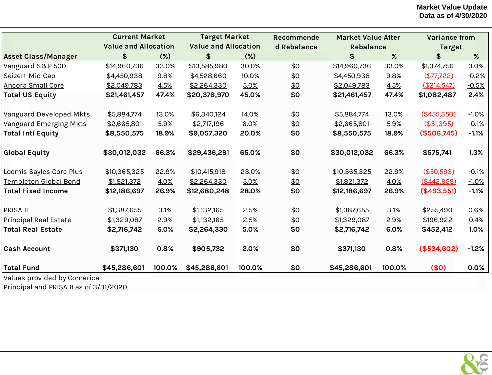|                               | <b>Current Market</b>       |        | <b>Target Market</b>        |        | <b>Recommende</b> | <b>Market Value After</b> |        | <b>Variance from</b> |         |
|-------------------------------|-----------------------------|--------|-----------------------------|--------|-------------------|---------------------------|--------|----------------------|---------|
|                               | <b>Value and Allocation</b> |        | <b>Value and Allocation</b> |        | d Rebalance       | <b>Rebalance</b>          |        | <b>Target</b>        |         |
| <b>Asset Class/Manager</b>    | \$                          | $(\%)$ | \$                          | $(\%)$ |                   | \$                        | %      | \$                   | $\%$    |
| Vanguard S&P 500              | \$14,960,736                | 33.0%  | \$13,585,980                | 30.0%  | \$0               | \$14,960,736              | 33.0%  | \$1,374,756          | 3.0%    |
| Seizert Mid Cap               | \$4,450,938                 | 9.8%   | \$4,528,660                 | 10.0%  | \$0               | \$4,450,938               | 9.8%   | (\$77,722)           | $-0.2%$ |
| <b>Ancora Small Core</b>      | \$2,049,783                 | 4.5%   | \$2,264,330                 | 5.0%   | \$0               | \$2,049,783               | 4.5%   | (\$214,547)          | $-0.5%$ |
| <b>Total US Equity</b>        | \$21,461,457                | 47.4%  | \$20,378,970                | 45.0%  | \$0               | \$21,461,457              | 47.4%  | \$1,082,487          | 2.4%    |
| Vanguard Developed Mkts       | \$5,884,774                 | 13.0%  | \$6,340,124                 | 14.0%  | \$0               | \$5,884,774               | 13.0%  | (\$455,350)          | $-1.0%$ |
| <b>Vanguard Emerging Mkts</b> | \$2,665,801                 | 5.9%   | \$2,717,196                 | 6.0%   | \$0               | \$2,665,801               | 5.9%   | (\$51,395)           | $-0.1%$ |
| <b>Total Intl Equity</b>      | \$8,550,575                 | 18.9%  | \$9,057,320                 | 20.0%  | \$0               | \$8,550,575               | 18.9%  | (\$506,745)          | $-1.1%$ |
| <b>Global Equity</b>          | \$30,012,032                | 66.3%  | \$29,436,291                | 65.0%  | \$0               | \$30,012,032              | 66.3%  | \$575,741            | 1.3%    |
| Loomis Sayles Core Plus       | \$10,365,325                | 22.9%  | \$10,415,918                | 23.0%  | \$0               | \$10,365,325              | 22.9%  | (\$50,593)           | $-0.1%$ |
| <b>Templeton Global Bond</b>  | \$1,821,372                 | 4.0%   | \$2,264,330                 | 5.0%   | \$0               | \$1,821,372               | 4.0%   | (\$442,958)          | $-1.0%$ |
| <b>Total Fixed Income</b>     | \$12,186,697                | 26.9%  | \$12,680,248                | 28.0%  | \$0               | \$12,186,697              | 26.9%  | (\$493,551)          | $-1.1%$ |
| <b>PRISA II</b>               | \$1,387,655                 | 3.1%   | \$1,132,165                 | 2.5%   | \$0               | \$1,387,655               | 3.1%   | \$255,490            | 0.6%    |
| <b>Principal Real Estate</b>  | \$1,329,087                 | 2.9%   | \$1,132,165                 | 2.5%   | \$0               | \$1,329,087               | 2.9%   | \$196,922            | 0.4%    |
| <b>Total Real Estate</b>      | \$2,716,742                 | 6.0%   | \$2,264,330                 | 5.0%   | \$0               | \$2,716,742               | 6.0%   | \$452,412            | 1.0%    |
| <b>Cash Account</b>           | \$371,130                   | 0.8%   | \$905,732                   | 2.0%   | \$0               | \$371,130                 | 0.8%   | (\$534,602)          | $-1.2%$ |
| Total Fund                    | \$45,286,601                | 100.0% | \$45,286,601                | 100.0% | \$0               | \$45,286,601              | 100.0% | (50)                 | 0.0%    |
| Values provided by Comerica   |                             |        |                             |        |                   |                           |        |                      |         |

Principal and PRISA II as of 3/31/2020.

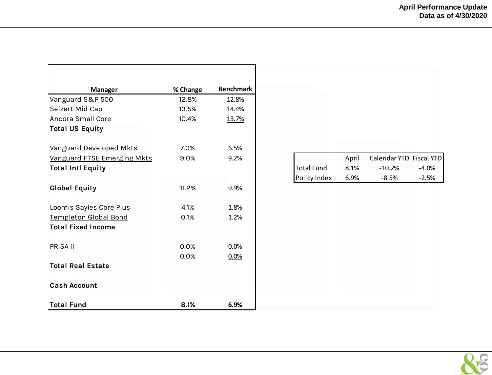| <b>Manager</b>               | % Change | <b>Benchmark</b> |
|------------------------------|----------|------------------|
| Vanguard S&P 500             | 12.8%    | 12.8%            |
| Seizert Mid Cap              | 13.5%    | 14.4%            |
| <b>Ancora Small Core</b>     | 10.4%    | 13.7%            |
| <b>Total US Equity</b>       |          |                  |
| Vanguard Developed Mkts      | 7.0%     | 6.5%             |
| Vanguard FTSE Emerging Mkts  | 9.0%     | 9.2%             |
| <b>Total Intl Equity</b>     |          |                  |
|                              |          |                  |
| <b>Global Equity</b>         | 11.2%    | 9.9%             |
|                              |          |                  |
| Loomis Sayles Core Plus      | 4.1%     | 1.8%             |
| <b>Templeton Global Bond</b> | 0.1%     | 1.2%             |
| <b>Total Fixed Income</b>    |          |                  |
| PRISA II                     | 0.0%     | 0.0%             |
|                              | 0.0%     | 0.0%             |
| <b>Total Real Estate</b>     |          |                  |
|                              |          |                  |
| <b>Cash Account</b>          |          |                  |
| <b>Total Fund</b>            | 8.1%     | 6.9%             |

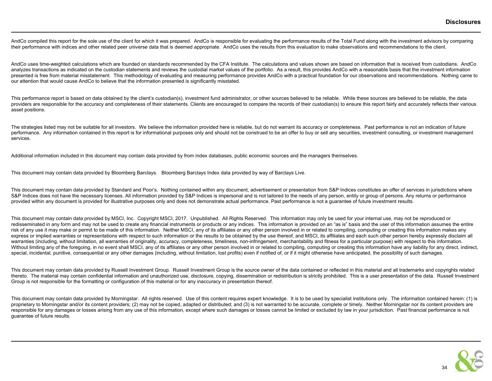AndCo compiled this report for the sole use of the client for which it was prepared. AndCo is responsible for evaluating the performance results of the Total Fund along with the investment advisors by comparing their performance with indices and other related peer universe data that is deemed appropriate. AndCo uses the results from this evaluation to make observations and recommendations to the client.

AndCo uses time-weighted calculations which are founded on standards recommended by the CFA Institute. The calculations and values shown are based on information that is received from custodians. AndCo analyzes transactions as indicated on the custodian statements and reviews the custodial market values of the portfolio. As a result, this provides AndCo with a reasonable basis that the investment information presented is free from material misstatement. This methodology of evaluating and measuring performance provides AndCo with a practical foundation for our observations and recommendations. Nothing came to our attention that would cause AndCo to believe that the information presented is significantly misstated.

This performance report is based on data obtained by the client's custodian(s), investment fund administrator, or other sources believed to be reliable. While these sources are believed to be reliable, the data providers are responsible for the accuracy and completeness of their statements. Clients are encouraged to compare the records of their custodian(s) to ensure this report fairly and accurately reflects their various asset positions.

The strategies listed may not be suitable for all investors. We believe the information provided here is reliable, but do not warrant its accuracy or completeness. Past performance is not an indication of future performance. Any information contained in this report is for informational purposes only and should not be construed to be an offer to buy or sell any securities, investment consulting, or investment management services.

Additional information included in this document may contain data provided by from index databases, public economic sources and the managers themselves.

This document may contain data provided by Bloomberg Barclays. Bloomberg Barclays Index data provided by way of Barclays Live.

This document may contain data provided by Standard and Poor's. Nothing contained within any document, advertisement or presentation from S&P Indices constitutes an offer of services in jurisdictions where S&P Indices does not have the necessary licenses. All information provided by S&P Indices is impersonal and is not tailored to the needs of any person, entity or group of persons. Any returns or performance provided within any document is provided for illustrative purposes only and does not demonstrate actual performance. Past performance is not a guarantee of future investment results.

This document may contain data provided by MSCI, Inc. Copyright MSCI, 2017. Unpublished. All Rights Reserved. This information may only be used for your internal use, may not be reproduced or redisseminated in any form and may not be used to create any financial instruments or products or any indices. This information is provided on an "as is" basis and the user of this information assumes the entire risk of any use it may make or permit to be made of this information. Neither MSCI, any of its affiliates or any other person involved in or related to compiling, computing or creating this information makes any express or implied warranties or representations with respect to such information or the results to be obtained by the use thereof, and MSCI, its affiliates and each such other person hereby expressly disclaim all warranties (including, without limitation, all warranties of originality, accuracy, completeness, timeliness, non-infringement, merchantability and fitness for a particular purpose) with respect to this information. Without limiting any of the foregoing, in no event shall MSCI, any of its affiliates or any other person involved in or related to compiling, computing or creating this information have any liability for any direct, indire special, incidental, punitive, consequential or any other damages (including, without limitation, lost profits) even if notified of, or if it might otherwise have anticipated, the possibility of such damages.

This document may contain data provided by Russell Investment Group. Russell Investment Group is the source owner of the data contained or reflected in this material and all trademarks and copyrights related thereto. The material may contain confidential information and unauthorized use, disclosure, copying, dissemination or redistribution is strictly prohibited. This is a user presentation of the data. Russell Investment Group is not responsible for the formatting or configuration of this material or for any inaccuracy in presentation thereof.

This document may contain data provided by Morningstar. All rights reserved. Use of this content requires expert knowledge. It is to be used by specialist institutions only. The information contained herein: (1) is proprietary to Morningstar and/or its content providers; (2) may not be copied, adapted or distributed; and (3) is not warranted to be accurate, complete or timely. Neither Morningstar nor its content providers are responsible for any damages or losses arising from any use of this information, except where such damages or losses cannot be limited or excluded by law in your jurisdiction. Past financial performance is not guarantee of future results.